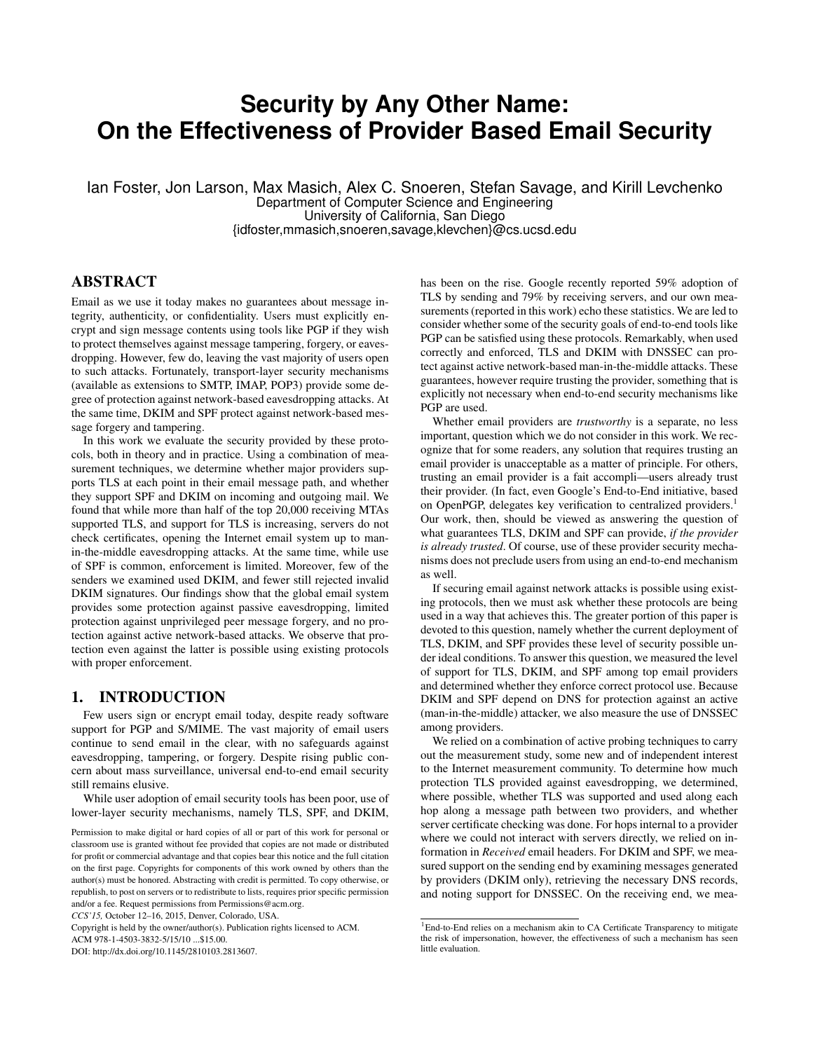# **Security by Any Other Name: On the Effectiveness of Provider Based Email Security**

Ian Foster, Jon Larson, Max Masich, Alex C. Snoeren, Stefan Savage, and Kirill Levchenko Department of Computer Science and Engineering University of California, San Diego {idfoster,mmasich,snoeren,savage,klevchen}@cs.ucsd.edu

# ABSTRACT

Email as we use it today makes no guarantees about message integrity, authenticity, or confidentiality. Users must explicitly encrypt and sign message contents using tools like PGP if they wish to protect themselves against message tampering, forgery, or eavesdropping. However, few do, leaving the vast majority of users open to such attacks. Fortunately, transport-layer security mechanisms (available as extensions to SMTP, IMAP, POP3) provide some degree of protection against network-based eavesdropping attacks. At the same time, DKIM and SPF protect against network-based message forgery and tampering.

In this work we evaluate the security provided by these protocols, both in theory and in practice. Using a combination of measurement techniques, we determine whether major providers supports TLS at each point in their email message path, and whether they support SPF and DKIM on incoming and outgoing mail. We found that while more than half of the top 20,000 receiving MTAs supported TLS, and support for TLS is increasing, servers do not check certificates, opening the Internet email system up to manin-the-middle eavesdropping attacks. At the same time, while use of SPF is common, enforcement is limited. Moreover, few of the senders we examined used DKIM, and fewer still rejected invalid DKIM signatures. Our findings show that the global email system provides some protection against passive eavesdropping, limited protection against unprivileged peer message forgery, and no protection against active network-based attacks. We observe that protection even against the latter is possible using existing protocols with proper enforcement.

# 1. INTRODUCTION

Few users sign or encrypt email today, despite ready software support for PGP and S/MIME. The vast majority of email users continue to send email in the clear, with no safeguards against eavesdropping, tampering, or forgery. Despite rising public concern about mass surveillance, universal end-to-end email security still remains elusive.

While user adoption of email security tools has been poor, use of lower-layer security mechanisms, namely TLS, SPF, and DKIM,

Copyright is held by the owner/author(s). Publication rights licensed to ACM.

ACM 978-1-4503-3832-5/15/10 ...\$15.00.

DOI: http://dx.doi.org/10.1145/2810103.2813607.

has been on the rise. Google recently reported 59% adoption of TLS by sending and 79% by receiving servers, and our own measurements (reported in this work) echo these statistics. We are led to consider whether some of the security goals of end-to-end tools like PGP can be satisfied using these protocols. Remarkably, when used correctly and enforced, TLS and DKIM with DNSSEC can protect against active network-based man-in-the-middle attacks. These guarantees, however require trusting the provider, something that is explicitly not necessary when end-to-end security mechanisms like PGP are used.

Whether email providers are *trustworthy* is a separate, no less important, question which we do not consider in this work. We recognize that for some readers, any solution that requires trusting an email provider is unacceptable as a matter of principle. For others, trusting an email provider is a fait accompli—users already trust their provider. (In fact, even Google's End-to-End initiative, based on OpenPGP, delegates key verification to centralized providers.<sup>[1](#page-0-0)</sup> Our work, then, should be viewed as answering the question of what guarantees TLS, DKIM and SPF can provide, *if the provider is already trusted*. Of course, use of these provider security mechanisms does not preclude users from using an end-to-end mechanism as well.

If securing email against network attacks is possible using existing protocols, then we must ask whether these protocols are being used in a way that achieves this. The greater portion of this paper is devoted to this question, namely whether the current deployment of TLS, DKIM, and SPF provides these level of security possible under ideal conditions. To answer this question, we measured the level of support for TLS, DKIM, and SPF among top email providers and determined whether they enforce correct protocol use. Because DKIM and SPF depend on DNS for protection against an active (man-in-the-middle) attacker, we also measure the use of DNSSEC among providers.

We relied on a combination of active probing techniques to carry out the measurement study, some new and of independent interest to the Internet measurement community. To determine how much protection TLS provided against eavesdropping, we determined, where possible, whether TLS was supported and used along each hop along a message path between two providers, and whether server certificate checking was done. For hops internal to a provider where we could not interact with servers directly, we relied on information in *Received* email headers. For DKIM and SPF, we measured support on the sending end by examining messages generated by providers (DKIM only), retrieving the necessary DNS records, and noting support for DNSSEC. On the receiving end, we mea-

Permission to make digital or hard copies of all or part of this work for personal or classroom use is granted without fee provided that copies are not made or distributed for profit or commercial advantage and that copies bear this notice and the full citation on the first page. Copyrights for components of this work owned by others than the author(s) must be honored. Abstracting with credit is permitted. To copy otherwise, or republish, to post on servers or to redistribute to lists, requires prior specific permission and/or a fee. Request permissions from Permissions@acm.org.

*CCS'15,* October 12–16, 2015, Denver, Colorado, USA.

<span id="page-0-0"></span><sup>&</sup>lt;sup>1</sup>End-to-End relies on a mechanism akin to CA Certificate Transparency to mitigate the risk of impersonation, however, the effectiveness of such a mechanism has seen little evaluation.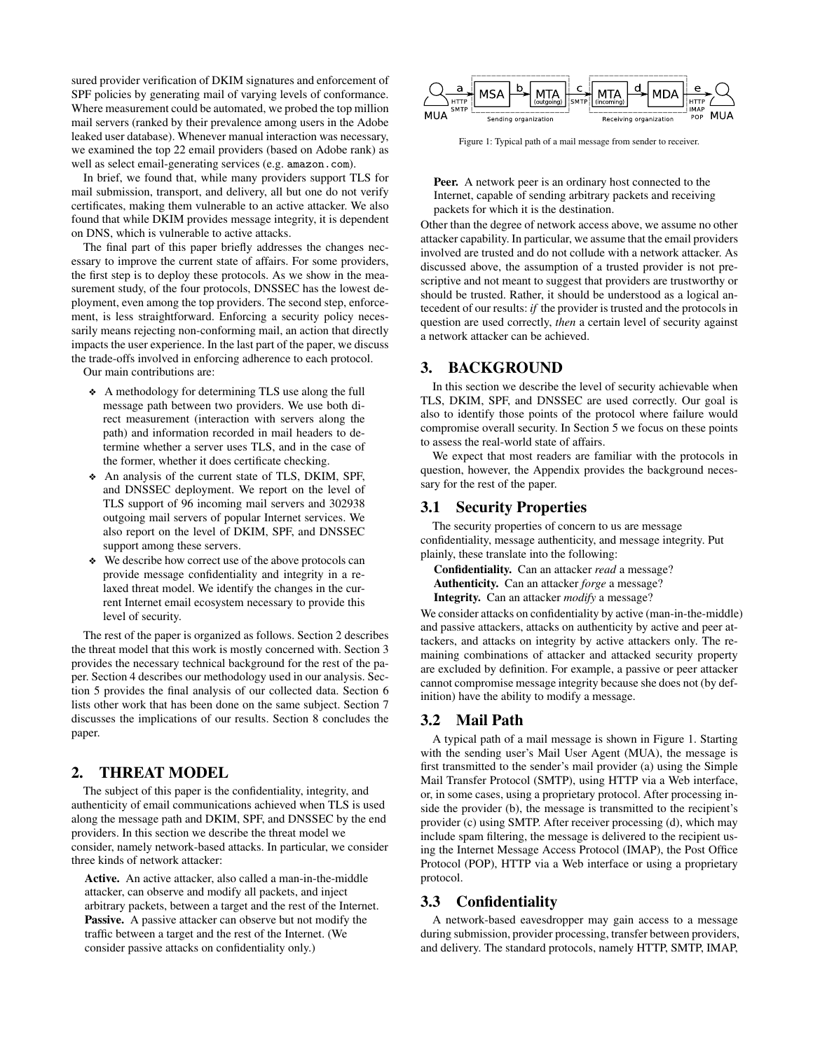sured provider verification of DKIM signatures and enforcement of SPF policies by generating mail of varying levels of conformance. Where measurement could be automated, we probed the top million mail servers (ranked by their prevalence among users in the Adobe leaked user database). Whenever manual interaction was necessary, we examined the top 22 email providers (based on Adobe rank) as well as select email-generating services (e.g. amazon.com).

In brief, we found that, while many providers support TLS for mail submission, transport, and delivery, all but one do not verify certificates, making them vulnerable to an active attacker. We also found that while DKIM provides message integrity, it is dependent on DNS, which is vulnerable to active attacks.

The final part of this paper briefly addresses the changes necessary to improve the current state of affairs. For some providers, the first step is to deploy these protocols. As we show in the measurement study, of the four protocols, DNSSEC has the lowest deployment, even among the top providers. The second step, enforcement, is less straightforward. Enforcing a security policy necessarily means rejecting non-conforming mail, an action that directly impacts the user experience. In the last part of the paper, we discuss the trade-offs involved in enforcing adherence to each protocol.

Our main contributions are:

- ❖ A methodology for determining TLS use along the full message path between two providers. We use both direct measurement (interaction with servers along the path) and information recorded in mail headers to determine whether a server uses TLS, and in the case of the former, whether it does certificate checking.
- ❖ An analysis of the current state of TLS, DKIM, SPF, and DNSSEC deployment. We report on the level of TLS support of 96 incoming mail servers and 302938 outgoing mail servers of popular Internet services. We also report on the level of DKIM, SPF, and DNSSEC support among these servers.
- ❖ We describe how correct use of the above protocols can provide message confidentiality and integrity in a relaxed threat model. We identify the changes in the current Internet email ecosystem necessary to provide this level of security.

The rest of the paper is organized as follows. Section [2](#page-1-0) describes the threat model that this work is mostly concerned with. Section [3](#page-1-1) provides the necessary technical background for the rest of the paper. Section [4](#page-3-0) describes our methodology used in our analysis. Section [5](#page-6-0) provides the final analysis of our collected data. Section [6](#page-9-0) lists other work that has been done on the same subject. Section [7](#page-9-1) discusses the implications of our results. Section [8](#page-11-0) concludes the paper.

# <span id="page-1-0"></span>2. THREAT MODEL

The subject of this paper is the confidentiality, integrity, and authenticity of email communications achieved when TLS is used along the message path and DKIM, SPF, and DNSSEC by the end providers. In this section we describe the threat model we consider, namely network-based attacks. In particular, we consider three kinds of network attacker:

Active. An active attacker, also called a man-in-the-middle attacker, can observe and modify all packets, and inject arbitrary packets, between a target and the rest of the Internet. Passive. A passive attacker can observe but not modify the traffic between a target and the rest of the Internet. (We consider passive attacks on confidentiality only.)

<span id="page-1-2"></span>

Figure 1: Typical path of a mail message from sender to receiver.

Peer. A network peer is an ordinary host connected to the Internet, capable of sending arbitrary packets and receiving packets for which it is the destination.

Other than the degree of network access above, we assume no other attacker capability. In particular, we assume that the email providers involved are trusted and do not collude with a network attacker. As discussed above, the assumption of a trusted provider is not prescriptive and not meant to suggest that providers are trustworthy or should be trusted. Rather, it should be understood as a logical antecedent of our results: *if* the provider is trusted and the protocols in question are used correctly, *then* a certain level of security against a network attacker can be achieved.

# <span id="page-1-1"></span>3. BACKGROUND

In this section we describe the level of security achievable when TLS, DKIM, SPF, and DNSSEC are used correctly. Our goal is also to identify those points of the protocol where failure would compromise overall security. In Section [5](#page-6-0) we focus on these points to assess the real-world state of affairs.

We expect that most readers are familiar with the protocols in question, however, the Appendix provides the background necessary for the rest of the paper.

# 3.1 Security Properties

The security properties of concern to us are message confidentiality, message authenticity, and message integrity. Put plainly, these translate into the following:

Confidentiality. Can an attacker *read* a message? Authenticity. Can an attacker *forge* a message?

Integrity. Can an attacker *modify* a message?

We consider attacks on confidentiality by active (man-in-the-middle) and passive attackers, attacks on authenticity by active and peer attackers, and attacks on integrity by active attackers only. The remaining combinations of attacker and attacked security property are excluded by definition. For example, a passive or peer attacker cannot compromise message integrity because she does not (by definition) have the ability to modify a message.

# 3.2 Mail Path

A typical path of a mail message is shown in Figure [1.](#page-1-2) Starting with the sending user's Mail User Agent (MUA), the message is first transmitted to the sender's mail provider (a) using the Simple Mail Transfer Protocol (SMTP), using HTTP via a Web interface, or, in some cases, using a proprietary protocol. After processing inside the provider (b), the message is transmitted to the recipient's provider (c) using SMTP. After receiver processing (d), which may include spam filtering, the message is delivered to the recipient using the Internet Message Access Protocol (IMAP), the Post Office Protocol (POP), HTTP via a Web interface or using a proprietary protocol.

# 3.3 Confidentiality

A network-based eavesdropper may gain access to a message during submission, provider processing, transfer between providers, and delivery. The standard protocols, namely HTTP, SMTP, IMAP,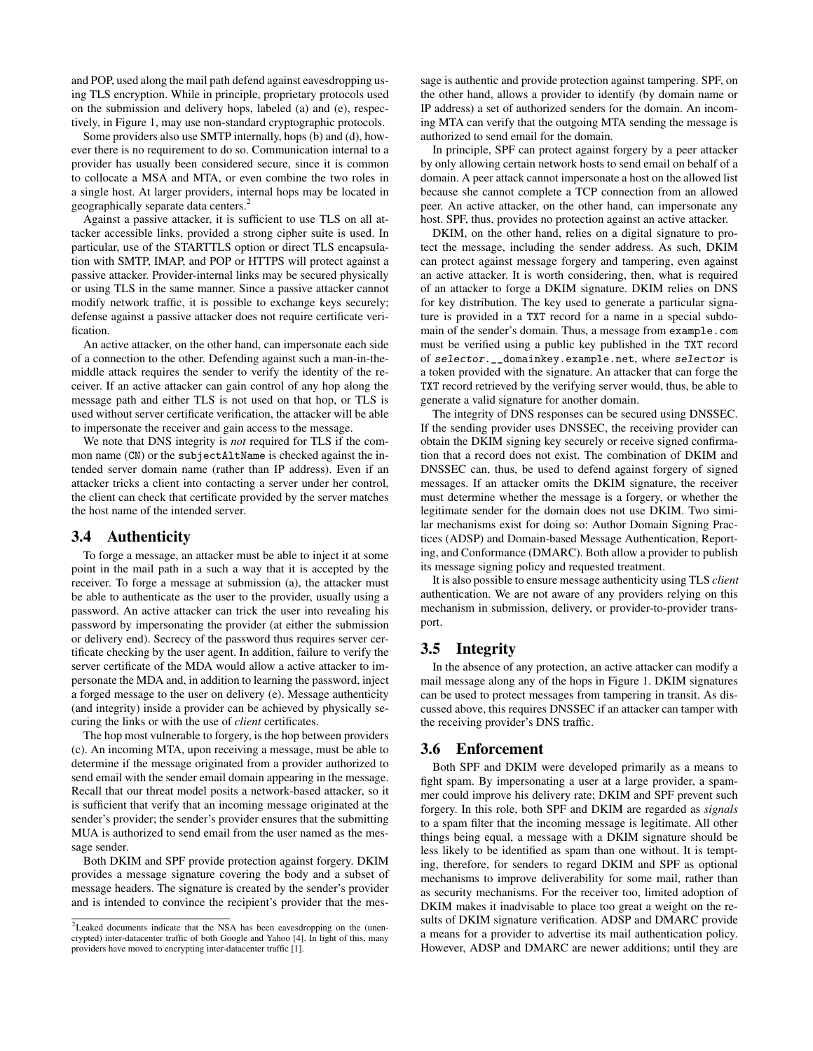and POP, used along the mail path defend against eavesdropping using TLS encryption. While in principle, proprietary protocols used on the submission and delivery hops, labeled (a) and (e), respectively, in Figure [1,](#page-1-2) may use non-standard cryptographic protocols.

Some providers also use SMTP internally, hops (b) and (d), however there is no requirement to do so. Communication internal to a provider has usually been considered secure, since it is common to collocate a MSA and MTA, or even combine the two roles in a single host. At larger providers, internal hops may be located in geographically separate data centers.<sup>[2](#page-2-0)</sup>

Against a passive attacker, it is sufficient to use TLS on all attacker accessible links, provided a strong cipher suite is used. In particular, use of the STARTTLS option or direct TLS encapsulation with SMTP, IMAP, and POP or HTTPS will protect against a passive attacker. Provider-internal links may be secured physically or using TLS in the same manner. Since a passive attacker cannot modify network traffic, it is possible to exchange keys securely; defense against a passive attacker does not require certificate verification.

An active attacker, on the other hand, can impersonate each side of a connection to the other. Defending against such a man-in-themiddle attack requires the sender to verify the identity of the receiver. If an active attacker can gain control of any hop along the message path and either TLS is not used on that hop, or TLS is used without server certificate verification, the attacker will be able to impersonate the receiver and gain access to the message.

We note that DNS integrity is *not* required for TLS if the common name (CN) or the subjectAltName is checked against the intended server domain name (rather than IP address). Even if an attacker tricks a client into contacting a server under her control, the client can check that certificate provided by the server matches the host name of the intended server.

### 3.4 Authenticity

To forge a message, an attacker must be able to inject it at some point in the mail path in a such a way that it is accepted by the receiver. To forge a message at submission (a), the attacker must be able to authenticate as the user to the provider, usually using a password. An active attacker can trick the user into revealing his password by impersonating the provider (at either the submission or delivery end). Secrecy of the password thus requires server certificate checking by the user agent. In addition, failure to verify the server certificate of the MDA would allow a active attacker to impersonate the MDA and, in addition to learning the password, inject a forged message to the user on delivery (e). Message authenticity (and integrity) inside a provider can be achieved by physically securing the links or with the use of *client* certificates.

The hop most vulnerable to forgery, is the hop between providers (c). An incoming MTA, upon receiving a message, must be able to determine if the message originated from a provider authorized to send email with the sender email domain appearing in the message. Recall that our threat model posits a network-based attacker, so it is sufficient that verify that an incoming message originated at the sender's provider; the sender's provider ensures that the submitting MUA is authorized to send email from the user named as the message sender.

Both DKIM and SPF provide protection against forgery. DKIM provides a message signature covering the body and a subset of message headers. The signature is created by the sender's provider and is intended to convince the recipient's provider that the message is authentic and provide protection against tampering. SPF, on the other hand, allows a provider to identify (by domain name or IP address) a set of authorized senders for the domain. An incoming MTA can verify that the outgoing MTA sending the message is authorized to send email for the domain.

In principle, SPF can protect against forgery by a peer attacker by only allowing certain network hosts to send email on behalf of a domain. A peer attack cannot impersonate a host on the allowed list because she cannot complete a TCP connection from an allowed peer. An active attacker, on the other hand, can impersonate any host. SPF, thus, provides no protection against an active attacker.

DKIM, on the other hand, relies on a digital signature to protect the message, including the sender address. As such, DKIM can protect against message forgery and tampering, even against an active attacker. It is worth considering, then, what is required of an attacker to forge a DKIM signature. DKIM relies on DNS for key distribution. The key used to generate a particular signature is provided in a TXT record for a name in a special subdomain of the sender's domain. Thus, a message from example.com must be verified using a public key published in the TXT record of selector.\_\_domainkey.example.net, where selector is a token provided with the signature. An attacker that can forge the TXT record retrieved by the verifying server would, thus, be able to generate a valid signature for another domain.

The integrity of DNS responses can be secured using DNSSEC. If the sending provider uses DNSSEC, the receiving provider can obtain the DKIM signing key securely or receive signed confirmation that a record does not exist. The combination of DKIM and DNSSEC can, thus, be used to defend against forgery of signed messages. If an attacker omits the DKIM signature, the receiver must determine whether the message is a forgery, or whether the legitimate sender for the domain does not use DKIM. Two similar mechanisms exist for doing so: Author Domain Signing Practices (ADSP) and Domain-based Message Authentication, Reporting, and Conformance (DMARC). Both allow a provider to publish its message signing policy and requested treatment.

It is also possible to ensure message authenticity using TLS *client* authentication. We are not aware of any providers relying on this mechanism in submission, delivery, or provider-to-provider transport.

# 3.5 Integrity

In the absence of any protection, an active attacker can modify a mail message along any of the hops in Figure [1.](#page-1-2) DKIM signatures can be used to protect messages from tampering in transit. As discussed above, this requires DNSSEC if an attacker can tamper with the receiving provider's DNS traffic.

#### 3.6 Enforcement

Both SPF and DKIM were developed primarily as a means to fight spam. By impersonating a user at a large provider, a spammer could improve his delivery rate; DKIM and SPF prevent such forgery. In this role, both SPF and DKIM are regarded as *signals* to a spam filter that the incoming message is legitimate. All other things being equal, a message with a DKIM signature should be less likely to be identified as spam than one without. It is tempting, therefore, for senders to regard DKIM and SPF as optional mechanisms to improve deliverability for some mail, rather than as security mechanisms. For the receiver too, limited adoption of DKIM makes it inadvisable to place too great a weight on the results of DKIM signature verification. ADSP and DMARC provide a means for a provider to advertise its mail authentication policy. However, ADSP and DMARC are newer additions; until they are

<span id="page-2-0"></span><sup>2</sup>Leaked documents indicate that the NSA has been eavesdropping on the (unencrypted) inter-datacenter traffic of both Google and Yahoo [\[4\]](#page-12-0). In light of this, many providers have moved to encrypting inter-datacenter traffic [\[1\]](#page-12-1).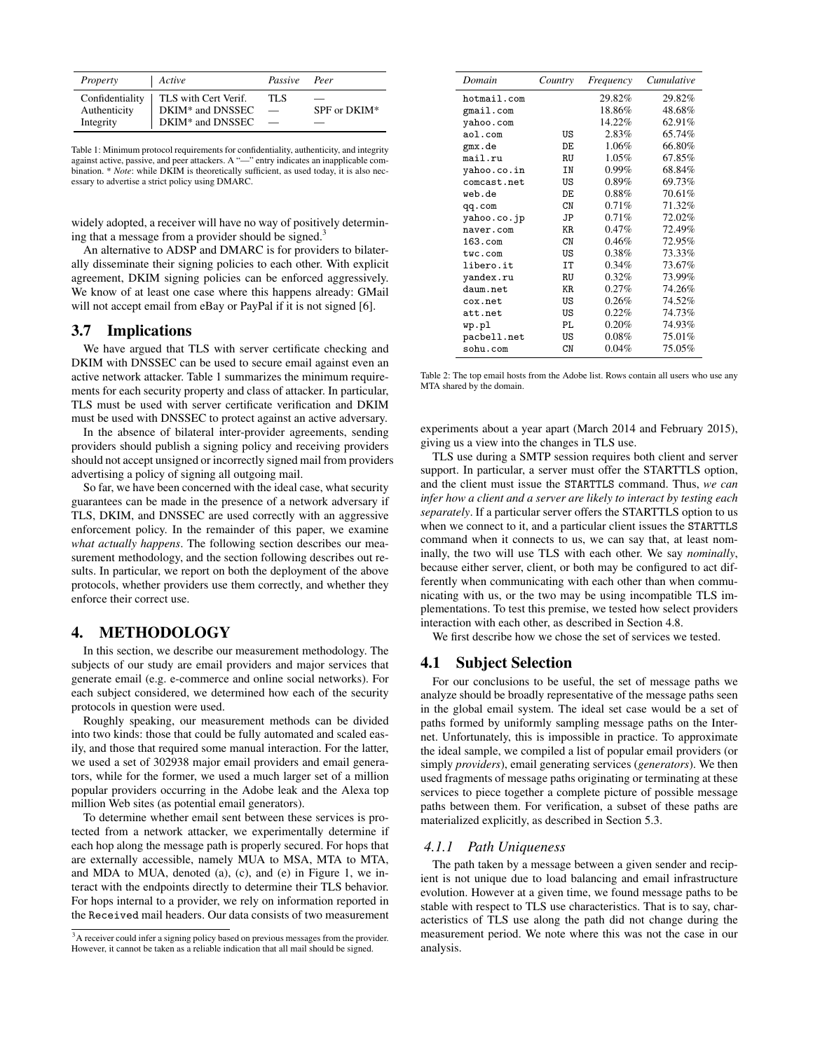<span id="page-3-2"></span>

| Property                                     | $ $ Active                                                   | Passive Peer                    |              |
|----------------------------------------------|--------------------------------------------------------------|---------------------------------|--------------|
| Confidentiality<br>Authenticity<br>Integrity | TLS with Cert Verif.<br>DKIM* and DNSSEC<br>DKIM* and DNSSEC | TLS<br>$\overline{\phantom{m}}$ | SPF or DKIM* |

Table 1: Minimum protocol requirements for confidentiality, authenticity, and integrity against active, passive, and peer attackers. A "—" entry indicates an inapplicable combination. \* *Note*: while DKIM is theoretically sufficient, as used today, it is also necessary to advertise a strict policy using DMARC.

widely adopted, a receiver will have no way of positively determin-ing that a message from a provider should be signed.<sup>[3](#page-3-1)</sup>

An alternative to ADSP and DMARC is for providers to bilaterally disseminate their signing policies to each other. With explicit agreement, DKIM signing policies can be enforced aggressively. We know of at least one case where this happens already: GMail will not accept email from eBay or PayPal if it is not signed [\[6\]](#page-12-2).

# 3.7 Implications

We have argued that TLS with server certificate checking and DKIM with DNSSEC can be used to secure email against even an active network attacker. Table [1](#page-3-2) summarizes the minimum requirements for each security property and class of attacker. In particular, TLS must be used with server certificate verification and DKIM must be used with DNSSEC to protect against an active adversary.

In the absence of bilateral inter-provider agreements, sending providers should publish a signing policy and receiving providers should not accept unsigned or incorrectly signed mail from providers advertising a policy of signing all outgoing mail.

So far, we have been concerned with the ideal case, what security guarantees can be made in the presence of a network adversary if TLS, DKIM, and DNSSEC are used correctly with an aggressive enforcement policy. In the remainder of this paper, we examine *what actually happens*. The following section describes our measurement methodology, and the section following describes out results. In particular, we report on both the deployment of the above protocols, whether providers use them correctly, and whether they enforce their correct use.

### <span id="page-3-0"></span>4. METHODOLOGY

In this section, we describe our measurement methodology. The subjects of our study are email providers and major services that generate email (e.g. e-commerce and online social networks). For each subject considered, we determined how each of the security protocols in question were used.

Roughly speaking, our measurement methods can be divided into two kinds: those that could be fully automated and scaled easily, and those that required some manual interaction. For the latter, we used a set of 302938 major email providers and email generators, while for the former, we used a much larger set of a million popular providers occurring in the Adobe leak and the Alexa top million Web sites (as potential email generators).

To determine whether email sent between these services is protected from a network attacker, we experimentally determine if each hop along the message path is properly secured. For hops that are externally accessible, namely MUA to MSA, MTA to MTA, and MDA to MUA, denoted (a), (c), and (e) in Figure [1,](#page-1-2) we interact with the endpoints directly to determine their TLS behavior. For hops internal to a provider, we rely on information reported in the Received mail headers. Our data consists of two measurement

<span id="page-3-3"></span>

| Domain                        | Country        | Frequency | Cumulative |
|-------------------------------|----------------|-----------|------------|
| hotmail.com                   |                | 29.82%    | 29.82%     |
| gmail.com                     |                | 18.86%    | 48.68%     |
| yahoo.com                     |                | 14.22%    | 62.91%     |
| aol.com                       | US             | 2.83%     | 65.74%     |
| gmx.de                        | DE.            | 1.06%     | 66.80%     |
| mail.ru                       | RU             | 1.05%     | 67.85%     |
| yahoo.co.in                   | ΤN             | $0.99\%$  | 68.84%     |
| comcast.net                   | US             | 0.89%     | 69.73%     |
| web.de                        | DF.            | 0.88%     | 70.61%     |
| qq.com                        | C <sub>N</sub> | 0.71%     | 71.32%     |
| yahoo.co.jp                   | JP.            | 0.71%     | 72.02%     |
| naver.com                     | KR.            | 0.47%     | 72.49%     |
| 163.com                       | CN             | 0.46%     | 72.95%     |
| twc.com                       | US             | 0.38%     | 73.33%     |
| libero.it                     | TТ             | 0.34%     | 73.67%     |
| yandex.ru                     | RU             | 0.32%     | 73.99%     |
| daum.net                      | KR.            | 0.27%     | 74.26%     |
| $\cos$ . $\operatorname{net}$ | US             | 0.26%     | 74.52%     |
| att.net                       | US             | 0.22%     | 74.73%     |
| wp.pl                         | PI.            | 0.20%     | 74.93%     |
| pacbell.net                   | US             | 0.08%     | 75.01%     |
| sohu.com                      | CN             | 0.04%     | 75.05%     |

Table 2: The top email hosts from the Adobe list. Rows contain all users who use any MTA shared by the domain.

experiments about a year apart (March 2014 and February 2015), giving us a view into the changes in TLS use.

TLS use during a SMTP session requires both client and server support. In particular, a server must offer the STARTTLS option, and the client must issue the STARTTLS command. Thus, *we can infer how a client and a server are likely to interact by testing each separately*. If a particular server offers the STARTTLS option to us when we connect to it, and a particular client issues the STARTTLS command when it connects to us, we can say that, at least nominally, the two will use TLS with each other. We say *nominally*, because either server, client, or both may be configured to act differently when communicating with each other than when communicating with us, or the two may be using incompatible TLS implementations. To test this premise, we tested how select providers interaction with each other, as described in Section [4.8.](#page-5-0)

We first describe how we chose the set of services we tested.

# 4.1 Subject Selection

For our conclusions to be useful, the set of message paths we analyze should be broadly representative of the message paths seen in the global email system. The ideal set case would be a set of paths formed by uniformly sampling message paths on the Internet. Unfortunately, this is impossible in practice. To approximate the ideal sample, we compiled a list of popular email providers (or simply *providers*), email generating services (*generators*). We then used fragments of message paths originating or terminating at these services to piece together a complete picture of possible message paths between them. For verification, a subset of these paths are materialized explicitly, as described in Section [5.3.](#page-7-0)

#### *4.1.1 Path Uniqueness*

The path taken by a message between a given sender and recipient is not unique due to load balancing and email infrastructure evolution. However at a given time, we found message paths to be stable with respect to TLS use characteristics. That is to say, characteristics of TLS use along the path did not change during the measurement period. We note where this was not the case in our analysis.

<span id="page-3-1"></span><sup>&</sup>lt;sup>3</sup>A receiver could infer a signing policy based on previous messages from the provider. However, it cannot be taken as a reliable indication that all mail should be signed.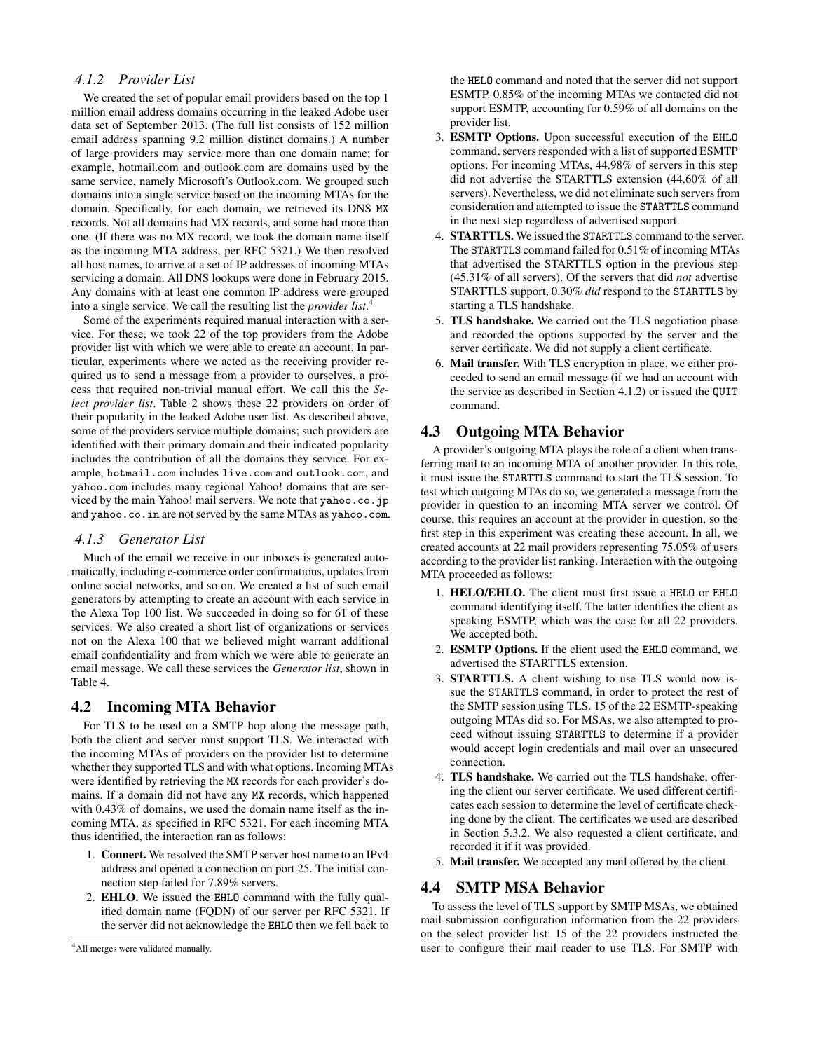# <span id="page-4-1"></span>*4.1.2 Provider List*

We created the set of popular email providers based on the top 1 million email address domains occurring in the leaked Adobe user data set of September 2013. (The full list consists of 152 million email address spanning 9.2 million distinct domains.) A number of large providers may service more than one domain name; for example, hotmail.com and outlook.com are domains used by the same service, namely Microsoft's Outlook.com. We grouped such domains into a single service based on the incoming MTAs for the domain. Specifically, for each domain, we retrieved its DNS MX records. Not all domains had MX records, and some had more than one. (If there was no MX record, we took the domain name itself as the incoming MTA address, per RFC 5321.) We then resolved all host names, to arrive at a set of IP addresses of incoming MTAs servicing a domain. All DNS lookups were done in February 2015. Any domains with at least one common IP address were grouped into a single service. We call the resulting list the *provider list*. [4](#page-4-0)

Some of the experiments required manual interaction with a service. For these, we took 22 of the top providers from the Adobe provider list with which we were able to create an account. In particular, experiments where we acted as the receiving provider required us to send a message from a provider to ourselves, a process that required non-trivial manual effort. We call this the *Select provider list*. Table [2](#page-3-3) shows these 22 providers on order of their popularity in the leaked Adobe user list. As described above, some of the providers service multiple domains; such providers are identified with their primary domain and their indicated popularity includes the contribution of all the domains they service. For example, hotmail.com includes live.com and outlook.com, and yahoo.com includes many regional Yahoo! domains that are serviced by the main Yahoo! mail servers. We note that yahoo.co.jp and yahoo.co.in are not served by the same MTAs as yahoo.com.

#### <span id="page-4-4"></span>*4.1.3 Generator List*

Much of the email we receive in our inboxes is generated automatically, including e-commerce order confirmations, updates from online social networks, and so on. We created a list of such email generators by attempting to create an account with each service in the Alexa Top 100 list. We succeeded in doing so for 61 of these services. We also created a short list of organizations or services not on the Alexa 100 that we believed might warrant additional email confidentiality and from which we were able to generate an email message. We call these services the *Generator list*, shown in Table [4.](#page-7-1)

# <span id="page-4-2"></span>4.2 Incoming MTA Behavior

For TLS to be used on a SMTP hop along the message path, both the client and server must support TLS. We interacted with the incoming MTAs of providers on the provider list to determine whether they supported TLS and with what options. Incoming MTAs were identified by retrieving the MX records for each provider's domains. If a domain did not have any MX records, which happened with 0.43% of domains, we used the domain name itself as the incoming MTA, as specified in RFC 5321. For each incoming MTA thus identified, the interaction ran as follows:

- 1. Connect. We resolved the SMTP server host name to an IPv4 address and opened a connection on port 25. The initial connection step failed for 7.89% servers.
- 2. EHLO. We issued the EHLO command with the fully qualified domain name (FQDN) of our server per RFC 5321. If the server did not acknowledge the EHLO then we fell back to

the HELO command and noted that the server did not support ESMTP. 0.85% of the incoming MTAs we contacted did not support ESMTP, accounting for 0.59% of all domains on the provider list.

- 3. ESMTP Options. Upon successful execution of the EHLO command, servers responded with a list of supported ESMTP options. For incoming MTAs, 44.98% of servers in this step did not advertise the STARTTLS extension (44.60% of all servers). Nevertheless, we did not eliminate such servers from consideration and attempted to issue the STARTTLS command in the next step regardless of advertised support.
- 4. STARTTLS. We issued the STARTTLS command to the server. The STARTTLS command failed for 0.51% of incoming MTAs that advertised the STARTTLS option in the previous step (45.31% of all servers). Of the servers that did *not* advertise STARTTLS support, 0.30% *did* respond to the STARTTLS by starting a TLS handshake.
- 5. TLS handshake. We carried out the TLS negotiation phase and recorded the options supported by the server and the server certificate. We did not supply a client certificate.
- 6. Mail transfer. With TLS encryption in place, we either proceeded to send an email message (if we had an account with the service as described in Section [4.1.2\)](#page-4-1) or issued the QUIT command.

# <span id="page-4-3"></span>4.3 Outgoing MTA Behavior

A provider's outgoing MTA plays the role of a client when transferring mail to an incoming MTA of another provider. In this role, it must issue the STARTTLS command to start the TLS session. To test which outgoing MTAs do so, we generated a message from the provider in question to an incoming MTA server we control. Of course, this requires an account at the provider in question, so the first step in this experiment was creating these account. In all, we created accounts at 22 mail providers representing 75.05% of users according to the provider list ranking. Interaction with the outgoing MTA proceeded as follows:

- 1. HELO/EHLO. The client must first issue a HELO or EHLO command identifying itself. The latter identifies the client as speaking ESMTP, which was the case for all 22 providers. We accepted both.
- 2. ESMTP Options. If the client used the EHLO command, we advertised the STARTTLS extension.
- 3. STARTTLS. A client wishing to use TLS would now issue the STARTTLS command, in order to protect the rest of the SMTP session using TLS. 15 of the 22 ESMTP-speaking outgoing MTAs did so. For MSAs, we also attempted to proceed without issuing STARTTLS to determine if a provider would accept login credentials and mail over an unsecured connection.
- 4. TLS handshake. We carried out the TLS handshake, offering the client our server certificate. We used different certificates each session to determine the level of certificate checking done by the client. The certificates we used are described in Section [5.3.2.](#page-7-2) We also requested a client certificate, and recorded it if it was provided.
- 5. Mail transfer. We accepted any mail offered by the client.

### 4.4 SMTP MSA Behavior

To assess the level of TLS support by SMTP MSAs, we obtained mail submission configuration information from the 22 providers on the select provider list. 15 of the 22 providers instructed the user to configure their mail reader to use TLS. For SMTP with

<span id="page-4-0"></span><sup>4</sup>All merges were validated manually.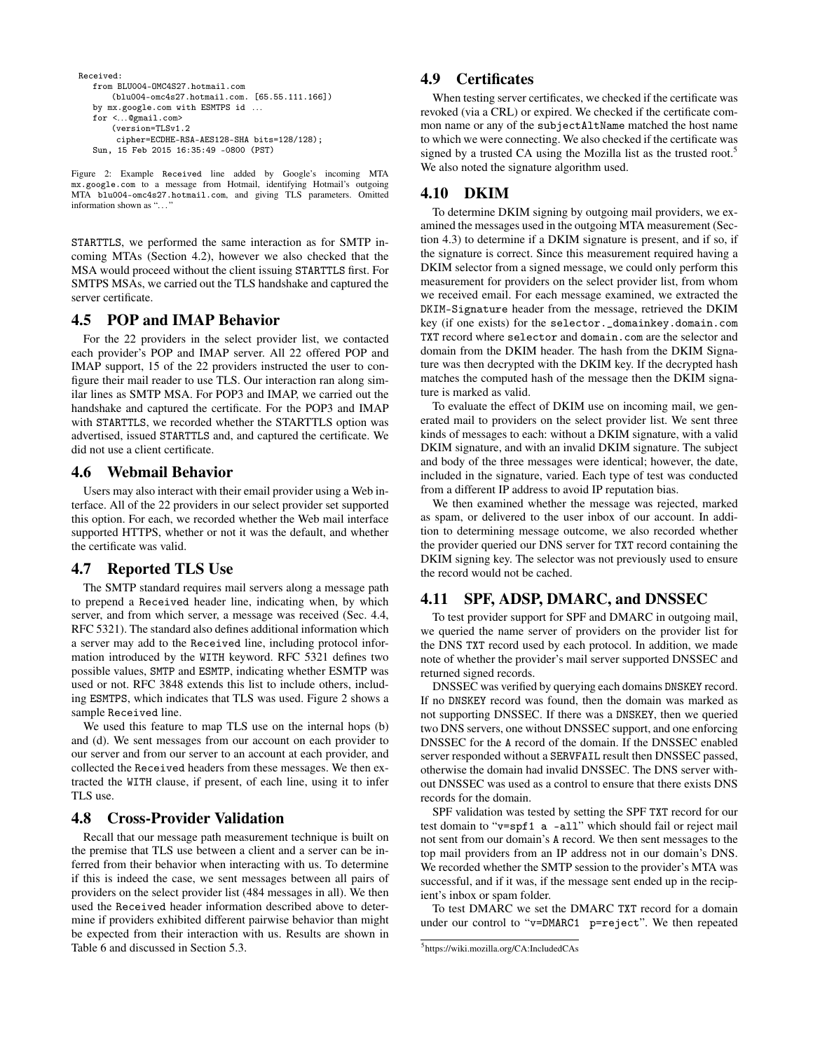```
Received:
from BLU004-OMC4S27.hotmail.com
     (blu004-omc4s27.hotmail.com. [65.55.111.166])
by mx.google.com with ESMTPS id ...
for <...@gmail.com>
    (version=TLSv1.2
      cipher=ECDHE-RSA-AES128-SHA bits=128/128);
Sun, 15 Feb 2015 16:35:49 -0800 (PST)
```
Figure 2: Example Received line added by Google's incoming MTA mx.google.com to a message from Hotmail, identifying Hotmail's outgoing MTA blu004-omc4s27.hotmail.com, and giving TLS parameters. Omitted information shown as  $"$ ...

STARTTLS, we performed the same interaction as for SMTP incoming MTAs (Section [4.2\)](#page-4-2), however we also checked that the MSA would proceed without the client issuing STARTTLS first. For SMTPS MSAs, we carried out the TLS handshake and captured the server certificate.

# 4.5 POP and IMAP Behavior

For the 22 providers in the select provider list, we contacted each provider's POP and IMAP server. All 22 offered POP and IMAP support, 15 of the 22 providers instructed the user to configure their mail reader to use TLS. Our interaction ran along similar lines as SMTP MSA. For POP3 and IMAP, we carried out the handshake and captured the certificate. For the POP3 and IMAP with STARTTLS, we recorded whether the STARTTLS option was advertised, issued STARTTLS and, and captured the certificate. We did not use a client certificate.

#### 4.6 Webmail Behavior

Users may also interact with their email provider using a Web interface. All of the 22 providers in our select provider set supported this option. For each, we recorded whether the Web mail interface supported HTTPS, whether or not it was the default, and whether the certificate was valid.

# <span id="page-5-5"></span>4.7 Reported TLS Use

The SMTP standard requires mail servers along a message path to prepend a Received header line, indicating when, by which server, and from which server, a message was received (Sec. 4.4, RFC 5321). The standard also defines additional information which a server may add to the Received line, including protocol information introduced by the WITH keyword. RFC 5321 defines two possible values, SMTP and ESMTP, indicating whether ESMTP was used or not. RFC 3848 extends this list to include others, including ESMTPS, which indicates that TLS was used. Figure [2](#page-5-1) shows a sample Received line.

We used this feature to map TLS use on the internal hops (b) and (d). We sent messages from our account on each provider to our server and from our server to an account at each provider, and collected the Received headers from these messages. We then extracted the WITH clause, if present, of each line, using it to infer TLS use.

#### <span id="page-5-0"></span>4.8 Cross-Provider Validation

Recall that our message path measurement technique is built on the premise that TLS use between a client and a server can be inferred from their behavior when interacting with us. To determine if this is indeed the case, we sent messages between all pairs of providers on the select provider list (484 messages in all). We then used the Received header information described above to determine if providers exhibited different pairwise behavior than might be expected from their interaction with us. Results are shown in Table [6](#page-8-0) and discussed in Section [5.3.](#page-7-0)

# <span id="page-5-4"></span>4.9 Certificates

When testing server certificates, we checked if the certificate was revoked (via a CRL) or expired. We checked if the certificate common name or any of the subjectAltName matched the host name to which we were connecting. We also checked if the certificate was signed by a trusted CA using the Mozilla list as the trusted root.<sup>[5](#page-5-2)</sup> We also noted the signature algorithm used.

# <span id="page-5-3"></span>4.10 DKIM

To determine DKIM signing by outgoing mail providers, we examined the messages used in the outgoing MTA measurement (Section [4.3\)](#page-4-3) to determine if a DKIM signature is present, and if so, if the signature is correct. Since this measurement required having a DKIM selector from a signed message, we could only perform this measurement for providers on the select provider list, from whom we received email. For each message examined, we extracted the DKIM-Signature header from the message, retrieved the DKIM key (if one exists) for the selector.\_domainkey.domain.com TXT record where selector and domain.com are the selector and domain from the DKIM header. The hash from the DKIM Signature was then decrypted with the DKIM key. If the decrypted hash matches the computed hash of the message then the DKIM signature is marked as valid.

To evaluate the effect of DKIM use on incoming mail, we generated mail to providers on the select provider list. We sent three kinds of messages to each: without a DKIM signature, with a valid DKIM signature, and with an invalid DKIM signature. The subject and body of the three messages were identical; however, the date, included in the signature, varied. Each type of test was conducted from a different IP address to avoid IP reputation bias.

We then examined whether the message was rejected, marked as spam, or delivered to the user inbox of our account. In addition to determining message outcome, we also recorded whether the provider queried our DNS server for TXT record containing the DKIM signing key. The selector was not previously used to ensure the record would not be cached.

# 4.11 SPF, ADSP, DMARC, and DNSSEC

To test provider support for SPF and DMARC in outgoing mail, we queried the name server of providers on the provider list for the DNS TXT record used by each protocol. In addition, we made note of whether the provider's mail server supported DNSSEC and returned signed records.

DNSSEC was verified by querying each domains DNSKEY record. If no DNSKEY record was found, then the domain was marked as not supporting DNSSEC. If there was a DNSKEY, then we queried two DNS servers, one without DNSSEC support, and one enforcing DNSSEC for the A record of the domain. If the DNSSEC enabled server responded without a SERVFAIL result then DNSSEC passed, otherwise the domain had invalid DNSSEC. The DNS server without DNSSEC was used as a control to ensure that there exists DNS records for the domain.

SPF validation was tested by setting the SPF TXT record for our test domain to "v=spf1 a -all" which should fail or reject mail not sent from our domain's A record. We then sent messages to the top mail providers from an IP address not in our domain's DNS. We recorded whether the SMTP session to the provider's MTA was successful, and if it was, if the message sent ended up in the recipient's inbox or spam folder.

To test DMARC we set the DMARC TXT record for a domain under our control to "v=DMARC1 p=reject". We then repeated

<span id="page-5-2"></span><sup>5</sup> https://wiki.mozilla.org/CA:IncludedCAs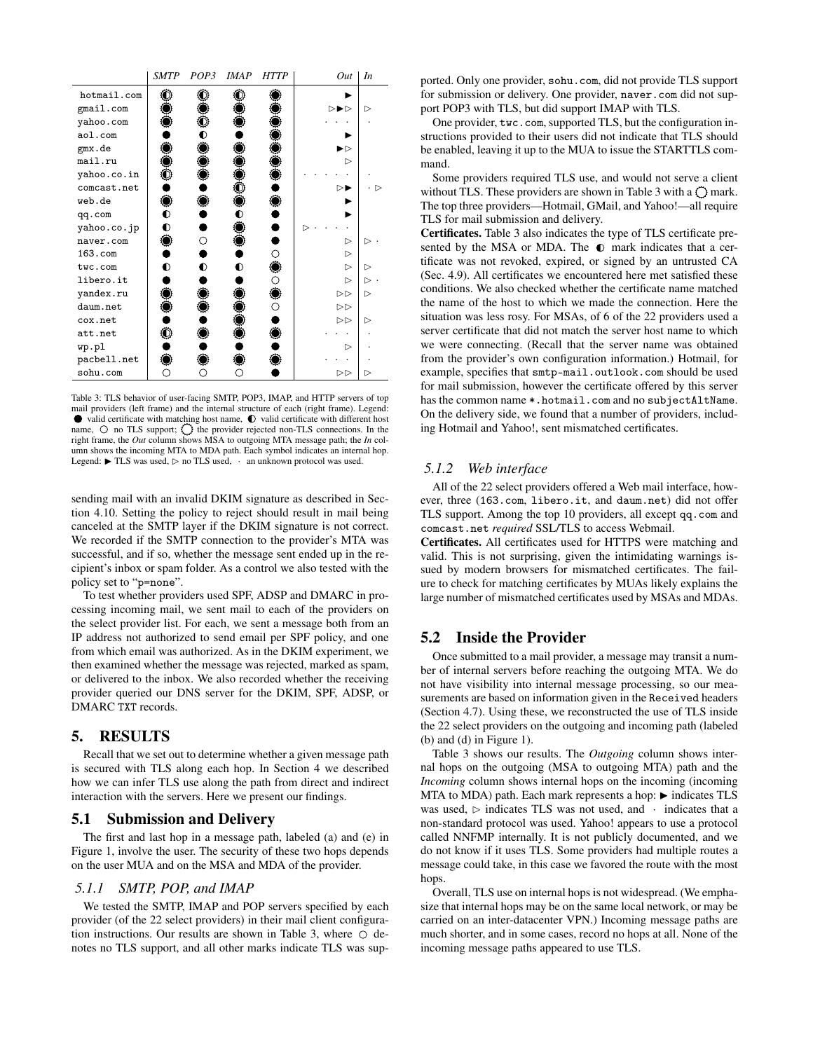<span id="page-6-1"></span>

Table 3: TLS behavior of user-facing SMTP, POP3, IMAP, and HTTP servers of top mail providers (left frame) and the internal structure of each (right frame). Legend:  $\bullet$  valid certificate with matching host name,  $\bullet$  valid certificate with different host name,  $\circ$  no TLS support;  $\circled{C}$  the provider rejected non-TLS connections. In the right frame, the *Out* column shows MSA to outgoing MTA message path; the *In* column shows the incoming MTA to MDA path. Each symbol indicates an internal hop. Legend:  $\blacktriangleright$  TLS was used,  $\triangleright$  no TLS used,  $\cdot$  an unknown protocol was used.

sending mail with an invalid DKIM signature as described in Section [4.10.](#page-5-3) Setting the policy to reject should result in mail being canceled at the SMTP layer if the DKIM signature is not correct. We recorded if the SMTP connection to the provider's MTA was successful, and if so, whether the message sent ended up in the recipient's inbox or spam folder. As a control we also tested with the policy set to "p=none".

To test whether providers used SPF, ADSP and DMARC in processing incoming mail, we sent mail to each of the providers on the select provider list. For each, we sent a message both from an IP address not authorized to send email per SPF policy, and one from which email was authorized. As in the DKIM experiment, we then examined whether the message was rejected, marked as spam, or delivered to the inbox. We also recorded whether the receiving provider queried our DNS server for the DKIM, SPF, ADSP, or DMARC TXT records.

# <span id="page-6-0"></span>5. RESULTS

Recall that we set out to determine whether a given message path is secured with TLS along each hop. In Section [4](#page-3-0) we described how we can infer TLS use along the path from direct and indirect interaction with the servers. Here we present our findings.

#### 5.1 Submission and Delivery

The first and last hop in a message path, labeled (a) and (e) in Figure [1,](#page-1-2) involve the user. The security of these two hops depends on the user MUA and on the MSA and MDA of the provider.

#### *5.1.1 SMTP, POP, and IMAP*

We tested the SMTP, IMAP and POP servers specified by each provider (of the 22 select providers) in their mail client configura-tion instructions. Our results are shown in Table [3,](#page-6-1) where  $\circ$  denotes no TLS support, and all other marks indicate TLS was supported. Only one provider, sohu.com, did not provide TLS support for submission or delivery. One provider, naver.com did not support POP3 with TLS, but did support IMAP with TLS.

One provider, twc.com, supported TLS, but the configuration instructions provided to their users did not indicate that TLS should be enabled, leaving it up to the MUA to issue the STARTTLS command.

Some providers required TLS use, and would not serve a client without TLS. These providers are shown in Table [3](#page-6-1) with a  $\bigcirc$  mark. The top three providers—Hotmail, GMail, and Yahoo!—all require TLS for mail submission and delivery.

Certificates. Table [3](#page-6-1) also indicates the type of TLS certificate presented by the MSA or MDA. The  $\bullet$  mark indicates that a certificate was not revoked, expired, or signed by an untrusted CA (Sec. [4.9\)](#page-5-4). All certificates we encountered here met satisfied these conditions. We also checked whether the certificate name matched the name of the host to which we made the connection. Here the situation was less rosy. For MSAs, of 6 of the 22 providers used a server certificate that did not match the server host name to which we were connecting. (Recall that the server name was obtained from the provider's own configuration information.) Hotmail, for example, specifies that smtp-mail.outlook.com should be used for mail submission, however the certificate offered by this server has the common name \*.hotmail.com and no subjectAltName. On the delivery side, we found that a number of providers, including Hotmail and Yahoo!, sent mismatched certificates.

#### *5.1.2 Web interface*

All of the 22 select providers offered a Web mail interface, however, three (163.com, libero.it, and daum.net) did not offer TLS support. Among the top 10 providers, all except qq.com and comcast.net *required* SSL/TLS to access Webmail.

Certificates. All certificates used for HTTPS were matching and valid. This is not surprising, given the intimidating warnings issued by modern browsers for mismatched certificates. The failure to check for matching certificates by MUAs likely explains the large number of mismatched certificates used by MSAs and MDAs.

# 5.2 Inside the Provider

Once submitted to a mail provider, a message may transit a number of internal servers before reaching the outgoing MTA. We do not have visibility into internal message processing, so our measurements are based on information given in the Received headers (Section [4.7\)](#page-5-5). Using these, we reconstructed the use of TLS inside the 22 select providers on the outgoing and incoming path (labeled (b) and (d) in Figure [1\)](#page-1-2).

Table [3](#page-6-1) shows our results. The *Outgoing* column shows internal hops on the outgoing (MSA to outgoing MTA) path and the *Incoming* column shows internal hops on the incoming (incoming MTA to MDA) path. Each mark represents a hop:  $\triangleright$  indicates TLS was used,  $\triangleright$  indicates TLS was not used, and · indicates that a non-standard protocol was used. Yahoo! appears to use a protocol called NNFMP internally. It is not publicly documented, and we do not know if it uses TLS. Some providers had multiple routes a message could take, in this case we favored the route with the most hops.

Overall, TLS use on internal hops is not widespread. (We emphasize that internal hops may be on the same local network, or may be carried on an inter-datacenter VPN.) Incoming message paths are much shorter, and in some cases, record no hops at all. None of the incoming message paths appeared to use TLS.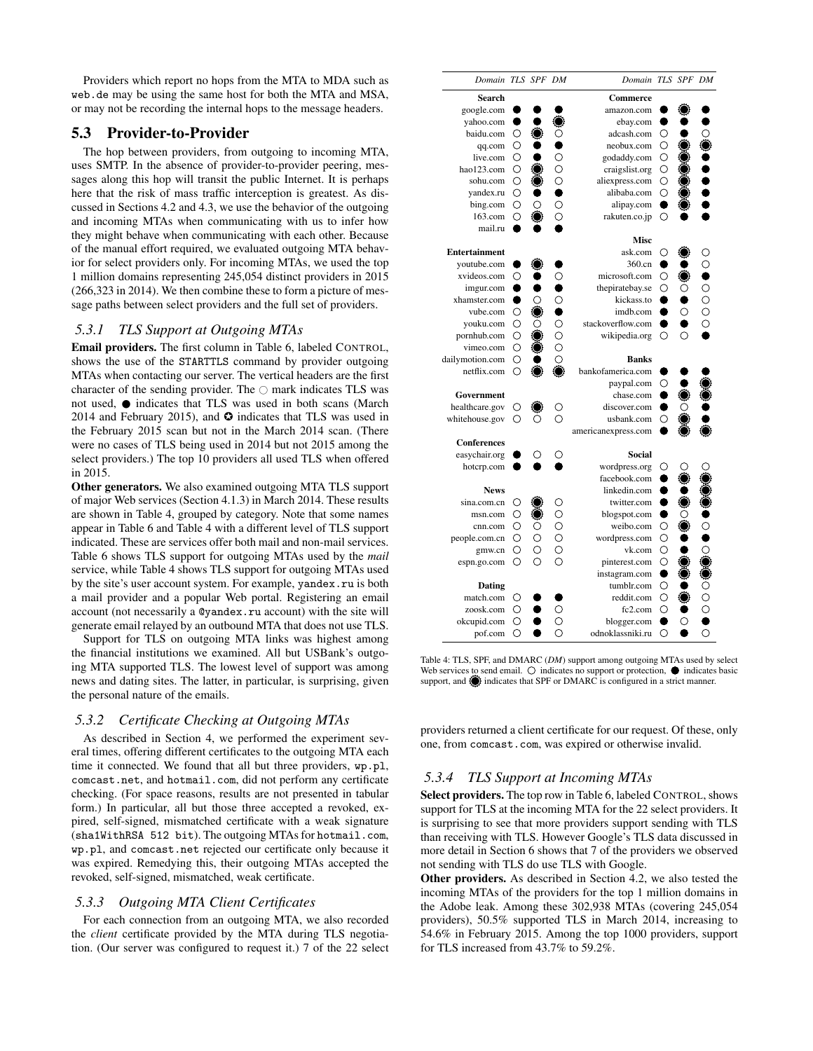Providers which report no hops from the MTA to MDA such as web.de may be using the same host for both the MTA and MSA, or may not be recording the internal hops to the message headers.

# <span id="page-7-0"></span>5.3 Provider-to-Provider

The hop between providers, from outgoing to incoming MTA, uses SMTP. In the absence of provider-to-provider peering, messages along this hop will transit the public Internet. It is perhaps here that the risk of mass traffic interception is greatest. As discussed in Sections [4.2](#page-4-2) and [4.3,](#page-4-3) we use the behavior of the outgoing and incoming MTAs when communicating with us to infer how they might behave when communicating with each other. Because of the manual effort required, we evaluated outgoing MTA behavior for select providers only. For incoming MTAs, we used the top 1 million domains representing 245,054 distinct providers in 2015 (266,323 in 2014). We then combine these to form a picture of message paths between select providers and the full set of providers.

#### *5.3.1 TLS Support at Outgoing MTAs*

Email providers. The first column in Table [6,](#page-8-0) labeled CONTROL, shows the use of the STARTTLS command by provider outgoing MTAs when contacting our server. The vertical headers are the first character of the sending provider. The  $\circ$  mark indicates TLS was not used,  $\bullet$  indicates that TLS was used in both scans (March 2014 and February 2015), and  $\odot$  indicates that TLS was used in the February 2015 scan but not in the March 2014 scan. (There were no cases of TLS being used in 2014 but not 2015 among the select providers.) The top 10 providers all used TLS when offered in 2015.

Other generators. We also examined outgoing MTA TLS support of major Web services (Section [4.1.3\)](#page-4-4) in March 2014. These results are shown in Table [4,](#page-7-1) grouped by category. Note that some names appear in Table [6](#page-8-0) and Table [4](#page-7-1) with a different level of TLS support indicated. These are services offer both mail and non-mail services. Table [6](#page-8-0) shows TLS support for outgoing MTAs used by the *mail* service, while Table [4](#page-7-1) shows TLS support for outgoing MTAs used by the site's user account system. For example, yandex.ru is both a mail provider and a popular Web portal. Registering an email account (not necessarily a @yandex.ru account) with the site will generate email relayed by an outbound MTA that does not use TLS.

Support for TLS on outgoing MTA links was highest among the financial institutions we examined. All but USBank's outgoing MTA supported TLS. The lowest level of support was among news and dating sites. The latter, in particular, is surprising, given the personal nature of the emails.

#### <span id="page-7-2"></span>*5.3.2 Certificate Checking at Outgoing MTAs*

As described in Section [4,](#page-3-0) we performed the experiment several times, offering different certificates to the outgoing MTA each time it connected. We found that all but three providers, wp.pl, comcast.net, and hotmail.com, did not perform any certificate checking. (For space reasons, results are not presented in tabular form.) In particular, all but those three accepted a revoked, expired, self-signed, mismatched certificate with a weak signature (sha1WithRSA 512 bit). The outgoing MTAs for hotmail.com, wp.pl, and comcast.net rejected our certificate only because it was expired. Remedying this, their outgoing MTAs accepted the revoked, self-signed, mismatched, weak certificate.

#### *5.3.3 Outgoing MTA Client Certificates*

For each connection from an outgoing MTA, we also recorded the *client* certificate provided by the MTA during TLS negotiation. (Our server was configured to request it.) 7 of the 22 select

<span id="page-7-1"></span>

| Domain TLS SPF DM    |         |                                  |                                      | Domain TLS SPF DM   |           |   |                             |
|----------------------|---------|----------------------------------|--------------------------------------|---------------------|-----------|---|-----------------------------|
| <b>Search</b>        |         |                                  |                                      | Commerce            |           |   |                             |
| google.com           |         |                                  |                                      | amazon.com          |           |   |                             |
| yahoo.com            | œ       |                                  |                                      | ebay.com            | O         |   |                             |
| baidu.com $\bigcirc$ |         | ⊙                                | õ                                    | adcash.com          | О         |   |                             |
| qq.com               | О       |                                  |                                      | neobux.com          | О         |   |                             |
| live.com             | $\circ$ |                                  | $\circ$                              | godaddy.com         | O         |   |                             |
| hao123.com           | ◯       | o<br>Ö                           | $\rm\check{\circ}$                   | craigslist.org      | $\circ$   |   |                             |
| sohu.com             | О       |                                  |                                      | aliexpress.com      | O         |   |                             |
| yandex.ru            | О       |                                  |                                      | alibaba.com         | О         |   |                             |
| bing.com             | O       |                                  |                                      | alipay.com          | ●         |   |                             |
| 163.com              | О       |                                  | $\frac{0}{0}$                        | rakuten.co.jp       | О         |   |                             |
| mail.ru              |         |                                  |                                      |                     |           |   |                             |
|                      |         |                                  |                                      | <b>Misc</b>         |           |   |                             |
| <b>Entertainment</b> |         |                                  |                                      | ask.com             | O         |   |                             |
| youtube.com          |         |                                  |                                      | 360.cn              |           |   | О                           |
| xvideos.com          | О       |                                  | О                                    | microsoft.com       | О         |   |                             |
| imgur.com            |         |                                  |                                      | thepiratebay.se     | О         |   |                             |
| xhamster.com         |         |                                  | $\circ$                              | kickass.to          | 0         |   | $\overline{O} \overline{O}$ |
| vube.com             | Ω       | C                                |                                      | imdb.com            | ●         |   |                             |
| youku.com            | Ω       | O                                | $\circ$                              | stackoverflow.com   | 0         | D |                             |
| pornhub.com          | ◯       |                                  | $\circ$                              | wikipedia.org       | О         | O |                             |
| vimeo.com            | Ω       | ð                                | $\rm\dot{\circ}$                     |                     |           |   |                             |
|                      | ∩       |                                  | $\overline{O}$                       |                     |           |   |                             |
| dailymotion.com      |         |                                  | ۱                                    | <b>Banks</b>        |           |   |                             |
| netflix.com          | ∩       |                                  |                                      | bankofamerica.com   |           |   |                             |
|                      |         |                                  |                                      | paypal.com          | Ο         |   |                             |
| Government           |         |                                  |                                      | chase.com           | $\bullet$ |   |                             |
| healthcare.gov       | O       |                                  |                                      | discover.com        |           |   |                             |
| whitehouse.gov       | ∩       |                                  |                                      | usbank.com          | ∩         |   |                             |
|                      |         |                                  |                                      | americanexpress.com |           |   |                             |
| Conferences          |         |                                  |                                      |                     |           |   |                             |
| easychair.org        |         |                                  |                                      | <b>Social</b>       |           |   |                             |
| hotcrp.com           |         |                                  |                                      | wordpress.org       | O         |   |                             |
|                      |         |                                  |                                      | facebook.com        |           |   |                             |
| <b>News</b>          |         |                                  |                                      | linkedin.com        |           |   |                             |
| sina.com.cn          | O       |                                  |                                      | twitter.com         | ●         |   |                             |
| msn.com              | О       |                                  | $\rm\frac{\dot{\odot}}{\dot{\odot}}$ | blogspot.com        | ●         |   |                             |
| cnn.com              | О       | О                                |                                      | weibo.com           | O         |   |                             |
| people.com.cn        | Ω       |                                  |                                      | wordpress.com       | О         |   |                             |
| gmw.cn               | О       | $\begin{matrix}0\\0\end{matrix}$ | $\rm\check{\circ}$                   | vk.com              | О         |   |                             |
| espn.go.com          | О       |                                  |                                      | pinterest.com       | О         |   |                             |
|                      |         |                                  |                                      | instagram.com       | 0         |   |                             |
| <b>Dating</b>        |         |                                  |                                      | tumblr.com          | Ō         |   |                             |
| match.com            | ∩       |                                  |                                      | reddit.com          | $\circ$   |   |                             |
| zoosk.com            | ∩       |                                  |                                      | fc2.com             | $\circ$   |   |                             |
| okcupid.com          | Ο       |                                  |                                      | blogger.com         |           |   |                             |
| pof.com              | Ο       |                                  |                                      | odnoklassniki.ru    | ∩         |   | $\bigcirc$                  |
|                      |         |                                  |                                      |                     |           |   |                             |

Table 4: TLS, SPF, and DMARC (*DM*) support among outgoing MTAs used by select Web services to send email.  $\bigcirc$  indicates no support or protection,  $\bullet$  indicates basic support, and  $\bigcirc$  indicates that SPF or DMARC is configured in a strict manner.

providers returned a client certificate for our request. Of these, only one, from comcast.com, was expired or otherwise invalid.

### <span id="page-7-3"></span>*5.3.4 TLS Support at Incoming MTAs*

Select providers. The top row in Table [6,](#page-8-0) labeled CONTROL, shows support for TLS at the incoming MTA for the 22 select providers. It is surprising to see that more providers support sending with TLS than receiving with TLS. However Google's TLS data discussed in more detail in Section [6](#page-9-0) shows that 7 of the providers we observed not sending with TLS do use TLS with Google.

Other providers. As described in Section [4.2,](#page-4-2) we also tested the incoming MTAs of the providers for the top 1 million domains in the Adobe leak. Among these 302,938 MTAs (covering 245,054 providers), 50.5% supported TLS in March 2014, increasing to 54.6% in February 2015. Among the top 1000 providers, support for TLS increased from 43.7% to 59.2%.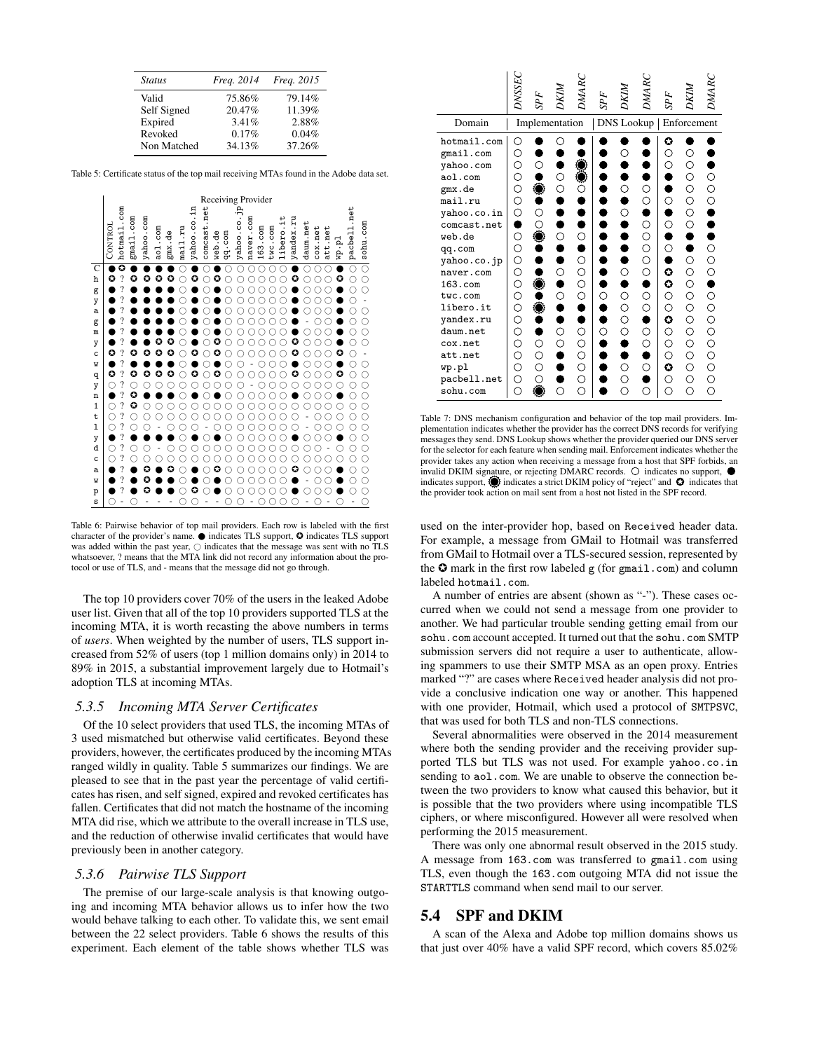<span id="page-8-1"></span>

| <b>Status</b> | Freq. 2014 | Freq. 2015 |
|---------------|------------|------------|
| Valid         | 75.86%     | 79.14%     |
| Self Signed   | 20.47%     | 11.39%     |
| Expired       | 3.41%      | 2.88%      |
| Revoked       | 0.17%      | 0.04%      |
| Non Matched   | 34.13%     | 37.26%     |

Table 5: Certificate status of the top mail receiving MTAs found in the Adobe data set.

<span id="page-8-0"></span>

Table 6: Pairwise behavior of top mail providers. Each row is labeled with the first character of the provider's name.  $\bullet$  indicates TLS support,  $\bullet$  indicates TLS support was added within the past year,  $\bigcirc$  indicates that the message was sent with no TLS whatsoever, ? means that the MTA link did not record any information about the protocol or use of TLS, and - means that the message did not go through.

The top 10 providers cover 70% of the users in the leaked Adobe user list. Given that all of the top 10 providers supported TLS at the incoming MTA, it is worth recasting the above numbers in terms of *users*. When weighted by the number of users, TLS support increased from 52% of users (top 1 million domains only) in 2014 to 89% in 2015, a substantial improvement largely due to Hotmail's adoption TLS at incoming MTAs.

#### *5.3.5 Incoming MTA Server Certificates*

Of the 10 select providers that used TLS, the incoming MTAs of 3 used mismatched but otherwise valid certificates. Beyond these providers, however, the certificates produced by the incoming MTAs ranged wildly in quality. Table [5](#page-8-1) summarizes our findings. We are pleased to see that in the past year the percentage of valid certificates has risen, and self signed, expired and revoked certificates has fallen. Certificates that did not match the hostname of the incoming MTA did rise, which we attribute to the overall increase in TLS use, and the reduction of otherwise invalid certificates that would have previously been in another category.

#### *5.3.6 Pairwise TLS Support*

The premise of our large-scale analysis is that knowing outgoing and incoming MTA behavior allows us to infer how the two would behave talking to each other. To validate this, we sent email between the 22 select providers. Table [6](#page-8-0) shows the results of this experiment. Each element of the table shows whether TLS was

<span id="page-8-2"></span>

|                         | DNSSEC              | SPF                        | DKIM     | DMARC                                         | SPF     | DKIM    | DMARC                    | SPF                | DKIM               | DMAR               |
|-------------------------|---------------------|----------------------------|----------|-----------------------------------------------|---------|---------|--------------------------|--------------------|--------------------|--------------------|
| Domain                  |                     | Implementation             |          |                                               |         |         | DNS Lookup   Enforcement |                    |                    |                    |
| hotmail.com             | О                   |                            |          |                                               |         |         |                          | ο                  |                    |                    |
| gmail.com               | $\circ$             |                            |          |                                               |         | О       |                          | $\circ$            | $\circ$            |                    |
| yahoo.com               | О                   | О                          |          |                                               |         |         |                          | O                  | $\circ$            |                    |
| aol.com                 | $\circ$             |                            | $\rm{O}$ | Ŏ                                             |         |         |                          |                    |                    | $\circ$            |
| gmx.de                  | $\rm \tilde{\rm O}$ | ۱                          |          |                                               |         | Ō       | $\overline{O}$           |                    | $\bar{\circ}$      | $\circ$            |
| mail.ru                 | $\circ$             |                            |          |                                               |         |         | $\circ$                  | О                  | $\overline{O}$     | $\circ$            |
| vahoo.co.in             | $\circ$             | Ó                          |          |                                               |         | Ó       |                          |                    |                    |                    |
| comcast.net             |                     | $\overset{\circ}{\bullet}$ |          | ۵                                             |         |         | $\bigcirc$               | $\circ$            | $\circ$            |                    |
| web.de                  | $\frac{0}{0}$       |                            | Ō        | $\bar{\circ}$                                 |         |         | $\circ$                  |                    |                    |                    |
| qq.com                  |                     |                            |          |                                               |         |         | $\circ$                  | O                  |                    | Ó                  |
| yahoo.co.jp             | $\circ$             |                            |          |                                               |         |         | $\frac{0}{0}$            |                    | $\circ$            | $\circ$            |
| naver.com               | $\frac{0}{0}$       |                            | O        |                                               |         | O       |                          | O                  | $\circ$            | $\circ$            |
| 163.com                 |                     | Ŏ                          |          | $\frac{0}{0}$                                 |         |         |                          | O                  | $\circ$            |                    |
| twc.com                 |                     |                            | ∩        |                                               | $\circ$ | $\circ$ | $\frac{0}{0}$            | $\bigcirc$         | $\circ$            | $\circ$            |
| libero.it               | $\circ$<br>$\circ$  | Ŏ                          |          | ŏ                                             |         | $\circ$ |                          | $\dot{\circ}$      | $\circ$            |                    |
| yandex.ru               |                     |                            |          |                                               |         | $\circ$ |                          | o                  | $\circ$            | $\circ$            |
| daum.net                | $\frac{0}{0}$       |                            | Ó        | $\begin{smallmatrix}0\\0\\0\end{smallmatrix}$ | Ó       | O       | $\frac{0}{0}$            | $\bigcirc$         | $\circ$            | $\overline{O}$     |
| cox.net                 | $\circ$             | O                          | Ó        |                                               |         |         |                          | $\circ$<br>$\circ$ | $\circ$<br>$\circ$ | $\circ$            |
| att.net                 | $\circ$             | O                          |          |                                               |         |         |                          |                    |                    |                    |
| wp.pl                   |                     | $\circ$                    |          | $\overline{O}$                                |         | О<br>О  | $\circ$                  | O<br>$\circ$       | $\circ$<br>$\circ$ | $\circ$<br>$\circ$ |
| pacbell.net<br>sohu.com | $\circ$<br>$\circ$  | 0                          | ◯        | Ō                                             |         | O       | О                        | Ó                  | O                  | Ō                  |
|                         |                     |                            |          |                                               |         |         |                          |                    |                    |                    |

Table 7: DNS mechanism configuration and behavior of the top mail providers. Implementation indicates whether the provider has the correct DNS records for verifying messages they send. DNS Lookup shows whether the provider queried our DNS server for the selector for each feature when sending mail. Enforcement indicates whether the provider takes any action when receiving a message from a host that SPF forbids, an invalid DKIM signature, or rejecting DMARC records.  $\bigcirc$  indicates no support, indicates support,  $\bigcirc$  indicates a strict DKIM policy of "reject" and  $\bigcirc$  indicates that the provider took action on mail sent from a host not listed in the SPF record.

used on the inter-provider hop, based on Received header data. For example, a message from GMail to Hotmail was transferred from GMail to Hotmail over a TLS-secured session, represented by the  $\Omega$  mark in the first row labeled g (for gmail.com) and column labeled hotmail.com.

A number of entries are absent (shown as "-"). These cases occurred when we could not send a message from one provider to another. We had particular trouble sending getting email from our sohu.com account accepted. It turned out that the sohu.com SMTP submission servers did not require a user to authenticate, allowing spammers to use their SMTP MSA as an open proxy. Entries marked "?" are cases where Received header analysis did not provide a conclusive indication one way or another. This happened with one provider, Hotmail, which used a protocol of SMTPSVC, that was used for both TLS and non-TLS connections.

Several abnormalities were observed in the 2014 measurement where both the sending provider and the receiving provider supported TLS but TLS was not used. For example yahoo.co.in sending to ao1. com. We are unable to observe the connection between the two providers to know what caused this behavior, but it is possible that the two providers where using incompatible TLS ciphers, or where misconfigured. However all were resolved when performing the 2015 measurement.

There was only one abnormal result observed in the 2015 study. A message from 163.com was transferred to gmail.com using TLS, even though the 163.com outgoing MTA did not issue the STARTTLS command when send mail to our server.

#### 5.4 SPF and DKIM

A scan of the Alexa and Adobe top million domains shows us that just over 40% have a valid SPF record, which covers 85.02%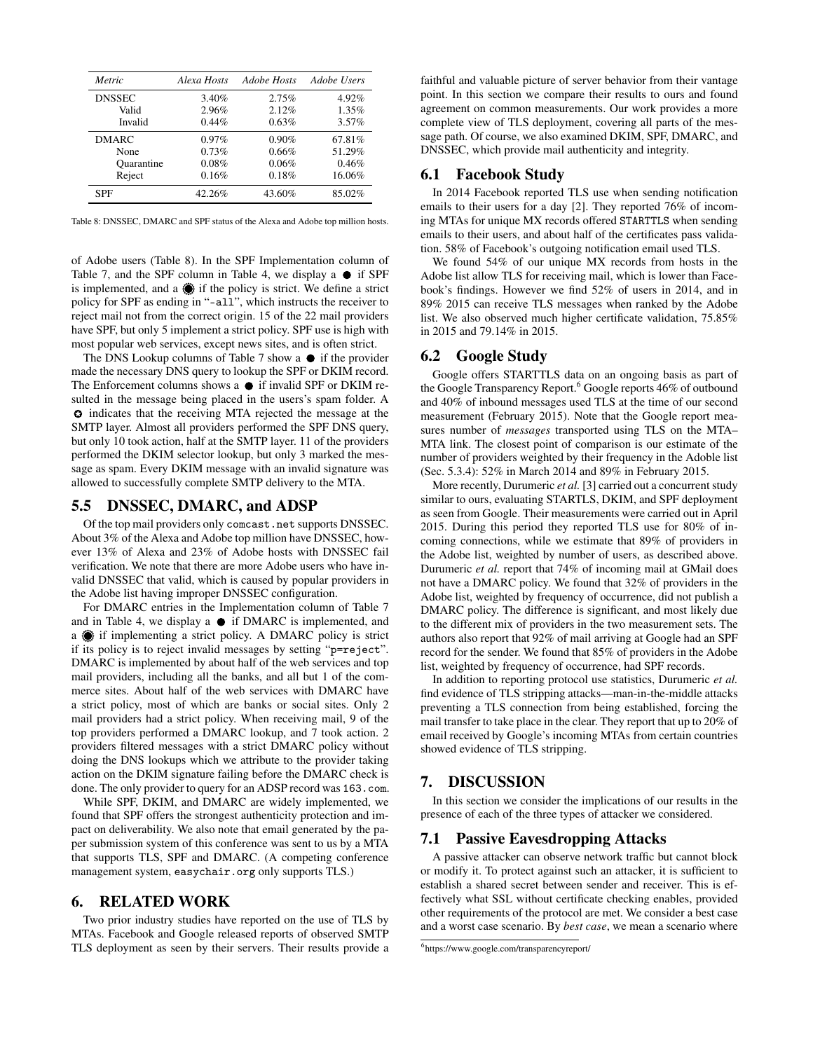<span id="page-9-2"></span>

| Metric            | Alexa Hosts | Adobe Hosts | Adobe Users |
|-------------------|-------------|-------------|-------------|
| <b>DNSSEC</b>     | 3.40%       | 2.75%       | 4.92%       |
| Valid             | 2.96%       | 2.12%       | 1.35%       |
| Invalid           | $0.44\%$    | 0.63%       | 3.57%       |
| <b>DMARC</b>      | $0.97\%$    | 0.90%       | 67.81%      |
| None              | 0.73%       | 0.66%       | 51.29%      |
| <b>Quarantine</b> | 0.08%       | 0.06%       | 0.46%       |
| Reject            | 0.16%       | 0.18%       | 16.06%      |
| SPF               | 42.26%      | 43.60%      | 85.02%      |

Table 8: DNSSEC, DMARC and SPF status of the Alexa and Adobe top million hosts.

of Adobe users (Table [8\)](#page-9-2). In the SPF Implementation column of Table [7,](#page-8-2) and the SPF column in Table [4,](#page-7-1) we display a  $\bullet$  if SPF is implemented, and a  $\ddot{\bullet}$  if the policy is strict. We define a strict policy for SPF as ending in "-all", which instructs the receiver to reject mail not from the correct origin. 15 of the 22 mail providers have SPF, but only 5 implement a strict policy. SPF use is high with most popular web services, except news sites, and is often strict.

The DNS Lookup columns of Table [7](#page-8-2) show a  $\bullet$  if the provider made the necessary DNS query to lookup the SPF or DKIM record. The Enforcement columns shows a  $\bullet$  if invalid SPF or DKIM resulted in the message being placed in the users's spam folder. A  $\bullet$  indicates that the receiving MTA rejected the message at the SMTP layer. Almost all providers performed the SPF DNS query, but only 10 took action, half at the SMTP layer. 11 of the providers performed the DKIM selector lookup, but only 3 marked the message as spam. Every DKIM message with an invalid signature was allowed to successfully complete SMTP delivery to the MTA.

# 5.5 DNSSEC, DMARC, and ADSP

Of the top mail providers only comcast.net supports DNSSEC. About 3% of the Alexa and Adobe top million have DNSSEC, however 13% of Alexa and 23% of Adobe hosts with DNSSEC fail verification. We note that there are more Adobe users who have invalid DNSSEC that valid, which is caused by popular providers in the Adobe list having improper DNSSEC configuration.

For DMARC entries in the Implementation column of Table [7](#page-8-2) and in Table [4,](#page-7-1) we display a  $\bullet$  if DMARC is implemented, and a  $\circledR$  if implementing a strict policy. A DMARC policy is strict if its policy is to reject invalid messages by setting "p=reject". DMARC is implemented by about half of the web services and top mail providers, including all the banks, and all but 1 of the commerce sites. About half of the web services with DMARC have a strict policy, most of which are banks or social sites. Only 2 mail providers had a strict policy. When receiving mail, 9 of the top providers performed a DMARC lookup, and 7 took action. 2 providers filtered messages with a strict DMARC policy without doing the DNS lookups which we attribute to the provider taking action on the DKIM signature failing before the DMARC check is done. The only provider to query for an ADSP record was 163.com.

While SPF, DKIM, and DMARC are widely implemented, we found that SPF offers the strongest authenticity protection and impact on deliverability. We also note that email generated by the paper submission system of this conference was sent to us by a MTA that supports TLS, SPF and DMARC. (A competing conference management system, easychair.org only supports TLS.)

### <span id="page-9-0"></span>6. RELATED WORK

Two prior industry studies have reported on the use of TLS by MTAs. Facebook and Google released reports of observed SMTP TLS deployment as seen by their servers. Their results provide a faithful and valuable picture of server behavior from their vantage point. In this section we compare their results to ours and found agreement on common measurements. Our work provides a more complete view of TLS deployment, covering all parts of the message path. Of course, we also examined DKIM, SPF, DMARC, and DNSSEC, which provide mail authenticity and integrity.

#### 6.1 Facebook Study

In 2014 Facebook reported TLS use when sending notification emails to their users for a day [\[2\]](#page-12-3). They reported 76% of incoming MTAs for unique MX records offered STARTTLS when sending emails to their users, and about half of the certificates pass validation. 58% of Facebook's outgoing notification email used TLS.

We found 54% of our unique MX records from hosts in the Adobe list allow TLS for receiving mail, which is lower than Facebook's findings. However we find 52% of users in 2014, and in 89% 2015 can receive TLS messages when ranked by the Adobe list. We also observed much higher certificate validation, 75.85% in 2015 and 79.14% in 2015.

# 6.2 Google Study

Google offers STARTTLS data on an ongoing basis as part of the Google Transparency Report.<sup>[6](#page-9-3)</sup> Google reports 46% of outbound and 40% of inbound messages used TLS at the time of our second measurement (February 2015). Note that the Google report measures number of *messages* transported using TLS on the MTA– MTA link. The closest point of comparison is our estimate of the number of providers weighted by their frequency in the Adoble list (Sec. [5.3.4\)](#page-7-3): 52% in March 2014 and 89% in February 2015.

More recently, Durumeric *et al.* [\[3\]](#page-12-4) carried out a concurrent study similar to ours, evaluating STARTLS, DKIM, and SPF deployment as seen from Google. Their measurements were carried out in April 2015. During this period they reported TLS use for 80% of incoming connections, while we estimate that 89% of providers in the Adobe list, weighted by number of users, as described above. Durumeric *et al.* report that 74% of incoming mail at GMail does not have a DMARC policy. We found that 32% of providers in the Adobe list, weighted by frequency of occurrence, did not publish a DMARC policy. The difference is significant, and most likely due to the different mix of providers in the two measurement sets. The authors also report that 92% of mail arriving at Google had an SPF record for the sender. We found that 85% of providers in the Adobe list, weighted by frequency of occurrence, had SPF records.

In addition to reporting protocol use statistics, Durumeric *et al.* find evidence of TLS stripping attacks—man-in-the-middle attacks preventing a TLS connection from being established, forcing the mail transfer to take place in the clear. They report that up to 20% of email received by Google's incoming MTAs from certain countries showed evidence of TLS stripping.

### <span id="page-9-1"></span>7. DISCUSSION

In this section we consider the implications of our results in the presence of each of the three types of attacker we considered.

# 7.1 Passive Eavesdropping Attacks

A passive attacker can observe network traffic but cannot block or modify it. To protect against such an attacker, it is sufficient to establish a shared secret between sender and receiver. This is effectively what SSL without certificate checking enables, provided other requirements of the protocol are met. We consider a best case and a worst case scenario. By *best case*, we mean a scenario where

<span id="page-9-3"></span><sup>6</sup> https://www.google.com/transparencyreport/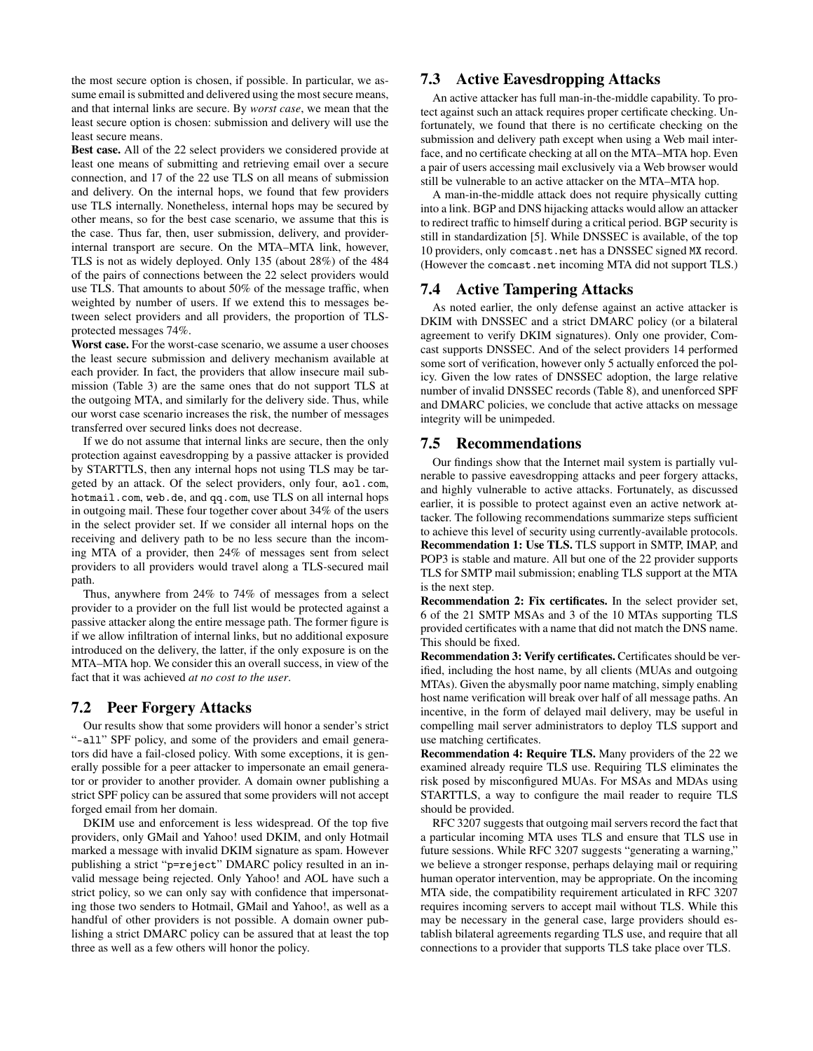the most secure option is chosen, if possible. In particular, we assume email is submitted and delivered using the most secure means, and that internal links are secure. By *worst case*, we mean that the least secure option is chosen: submission and delivery will use the least secure means.

Best case. All of the 22 select providers we considered provide at least one means of submitting and retrieving email over a secure connection, and 17 of the 22 use TLS on all means of submission and delivery. On the internal hops, we found that few providers use TLS internally. Nonetheless, internal hops may be secured by other means, so for the best case scenario, we assume that this is the case. Thus far, then, user submission, delivery, and providerinternal transport are secure. On the MTA–MTA link, however, TLS is not as widely deployed. Only 135 (about 28%) of the 484 of the pairs of connections between the 22 select providers would use TLS. That amounts to about 50% of the message traffic, when weighted by number of users. If we extend this to messages between select providers and all providers, the proportion of TLSprotected messages 74%.

Worst case. For the worst-case scenario, we assume a user chooses the least secure submission and delivery mechanism available at each provider. In fact, the providers that allow insecure mail submission (Table [3\)](#page-6-1) are the same ones that do not support TLS at the outgoing MTA, and similarly for the delivery side. Thus, while our worst case scenario increases the risk, the number of messages transferred over secured links does not decrease.

If we do not assume that internal links are secure, then the only protection against eavesdropping by a passive attacker is provided by STARTTLS, then any internal hops not using TLS may be targeted by an attack. Of the select providers, only four, aol.com, hotmail.com, web.de, and qq.com, use TLS on all internal hops in outgoing mail. These four together cover about 34% of the users in the select provider set. If we consider all internal hops on the receiving and delivery path to be no less secure than the incoming MTA of a provider, then 24% of messages sent from select providers to all providers would travel along a TLS-secured mail path.

Thus, anywhere from 24% to 74% of messages from a select provider to a provider on the full list would be protected against a passive attacker along the entire message path. The former figure is if we allow infiltration of internal links, but no additional exposure introduced on the delivery, the latter, if the only exposure is on the MTA–MTA hop. We consider this an overall success, in view of the fact that it was achieved *at no cost to the user*.

### 7.2 Peer Forgery Attacks

Our results show that some providers will honor a sender's strict "-all" SPF policy, and some of the providers and email generators did have a fail-closed policy. With some exceptions, it is generally possible for a peer attacker to impersonate an email generator or provider to another provider. A domain owner publishing a strict SPF policy can be assured that some providers will not accept forged email from her domain.

DKIM use and enforcement is less widespread. Of the top five providers, only GMail and Yahoo! used DKIM, and only Hotmail marked a message with invalid DKIM signature as spam. However publishing a strict "p=reject" DMARC policy resulted in an invalid message being rejected. Only Yahoo! and AOL have such a strict policy, so we can only say with confidence that impersonating those two senders to Hotmail, GMail and Yahoo!, as well as a handful of other providers is not possible. A domain owner publishing a strict DMARC policy can be assured that at least the top three as well as a few others will honor the policy.

# 7.3 Active Eavesdropping Attacks

An active attacker has full man-in-the-middle capability. To protect against such an attack requires proper certificate checking. Unfortunately, we found that there is no certificate checking on the submission and delivery path except when using a Web mail interface, and no certificate checking at all on the MTA–MTA hop. Even a pair of users accessing mail exclusively via a Web browser would still be vulnerable to an active attacker on the MTA–MTA hop.

A man-in-the-middle attack does not require physically cutting into a link. BGP and DNS hijacking attacks would allow an attacker to redirect traffic to himself during a critical period. BGP security is still in standardization [\[5\]](#page-12-5). While DNSSEC is available, of the top 10 providers, only comcast.net has a DNSSEC signed MX record. (However the comcast.net incoming MTA did not support TLS.)

#### 7.4 Active Tampering Attacks

As noted earlier, the only defense against an active attacker is DKIM with DNSSEC and a strict DMARC policy (or a bilateral agreement to verify DKIM signatures). Only one provider, Comcast supports DNSSEC. And of the select providers 14 performed some sort of verification, however only 5 actually enforced the policy. Given the low rates of DNSSEC adoption, the large relative number of invalid DNSSEC records (Table [8\)](#page-9-2), and unenforced SPF and DMARC policies, we conclude that active attacks on message integrity will be unimpeded.

### 7.5 Recommendations

Our findings show that the Internet mail system is partially vulnerable to passive eavesdropping attacks and peer forgery attacks, and highly vulnerable to active attacks. Fortunately, as discussed earlier, it is possible to protect against even an active network attacker. The following recommendations summarize steps sufficient to achieve this level of security using currently-available protocols. Recommendation 1: Use TLS. TLS support in SMTP, IMAP, and POP3 is stable and mature. All but one of the 22 provider supports TLS for SMTP mail submission; enabling TLS support at the MTA is the next step.

Recommendation 2: Fix certificates. In the select provider set, 6 of the 21 SMTP MSAs and 3 of the 10 MTAs supporting TLS provided certificates with a name that did not match the DNS name. This should be fixed.

Recommendation 3: Verify certificates. Certificates should be verified, including the host name, by all clients (MUAs and outgoing MTAs). Given the abysmally poor name matching, simply enabling host name verification will break over half of all message paths. An incentive, in the form of delayed mail delivery, may be useful in compelling mail server administrators to deploy TLS support and use matching certificates.

Recommendation 4: Require TLS. Many providers of the 22 we examined already require TLS use. Requiring TLS eliminates the risk posed by misconfigured MUAs. For MSAs and MDAs using STARTTLS, a way to configure the mail reader to require TLS should be provided.

RFC 3207 suggests that outgoing mail servers record the fact that a particular incoming MTA uses TLS and ensure that TLS use in future sessions. While RFC 3207 suggests "generating a warning," we believe a stronger response, perhaps delaying mail or requiring human operator intervention, may be appropriate. On the incoming MTA side, the compatibility requirement articulated in RFC 3207 requires incoming servers to accept mail without TLS. While this may be necessary in the general case, large providers should establish bilateral agreements regarding TLS use, and require that all connections to a provider that supports TLS take place over TLS.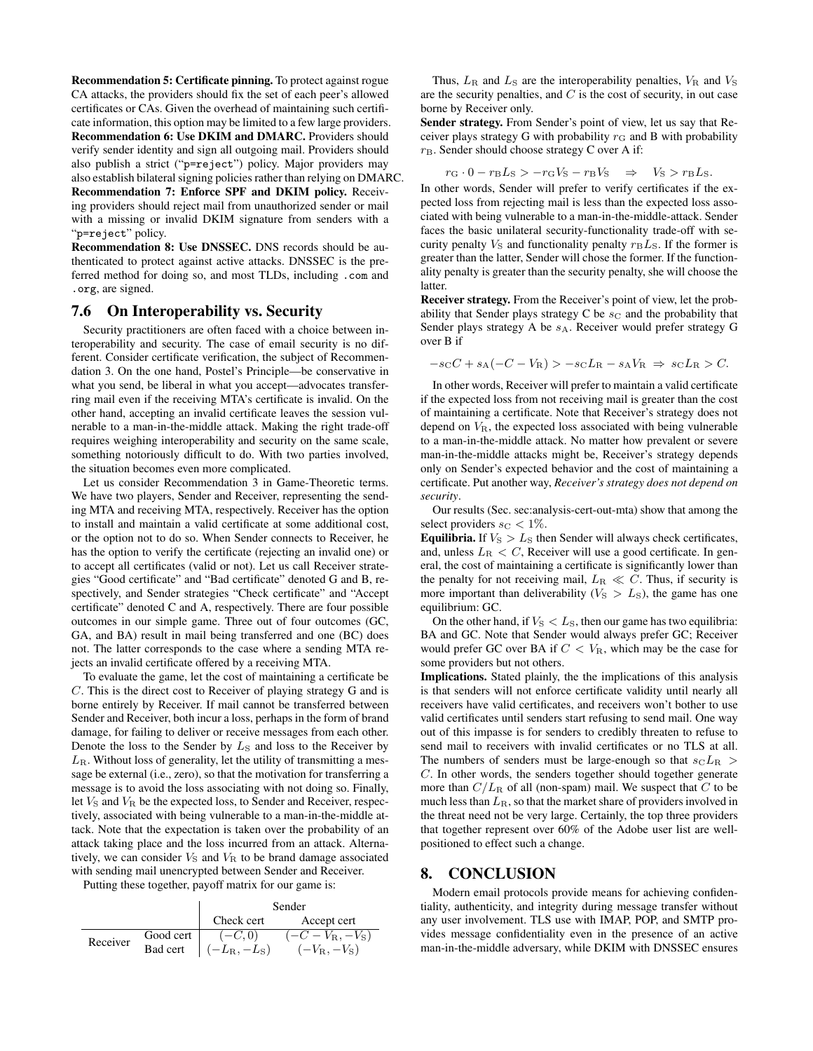Recommendation 5: Certificate pinning. To protect against rogue CA attacks, the providers should fix the set of each peer's allowed certificates or CAs. Given the overhead of maintaining such certificate information, this option may be limited to a few large providers. Recommendation 6: Use DKIM and DMARC. Providers should verify sender identity and sign all outgoing mail. Providers should also publish a strict ("p=reject") policy. Major providers may also establish bilateral signing policies rather than relying on DMARC. Recommendation 7: Enforce SPF and DKIM policy. Receiv-

ing providers should reject mail from unauthorized sender or mail with a missing or invalid DKIM signature from senders with a "p=reject" policy.

Recommendation 8: Use DNSSEC. DNS records should be authenticated to protect against active attacks. DNSSEC is the preferred method for doing so, and most TLDs, including .com and .org, are signed.

#### 7.6 On Interoperability vs. Security

Security practitioners are often faced with a choice between interoperability and security. The case of email security is no different. Consider certificate verification, the subject of Recommendation 3. On the one hand, Postel's Principle—be conservative in what you send, be liberal in what you accept—advocates transferring mail even if the receiving MTA's certificate is invalid. On the other hand, accepting an invalid certificate leaves the session vulnerable to a man-in-the-middle attack. Making the right trade-off requires weighing interoperability and security on the same scale, something notoriously difficult to do. With two parties involved, the situation becomes even more complicated.

Let us consider Recommendation 3 in Game-Theoretic terms. We have two players, Sender and Receiver, representing the sending MTA and receiving MTA, respectively. Receiver has the option to install and maintain a valid certificate at some additional cost, or the option not to do so. When Sender connects to Receiver, he has the option to verify the certificate (rejecting an invalid one) or to accept all certificates (valid or not). Let us call Receiver strategies "Good certificate" and "Bad certificate" denoted G and B, respectively, and Sender strategies "Check certificate" and "Accept certificate" denoted C and A, respectively. There are four possible outcomes in our simple game. Three out of four outcomes (GC, GA, and BA) result in mail being transferred and one (BC) does not. The latter corresponds to the case where a sending MTA rejects an invalid certificate offered by a receiving MTA.

To evaluate the game, let the cost of maintaining a certificate be C. This is the direct cost to Receiver of playing strategy G and is borne entirely by Receiver. If mail cannot be transferred between Sender and Receiver, both incur a loss, perhaps in the form of brand damage, for failing to deliver or receive messages from each other. Denote the loss to the Sender by  $L<sub>S</sub>$  and loss to the Receiver by  $L_{\rm R}$ . Without loss of generality, let the utility of transmitting a message be external (i.e., zero), so that the motivation for transferring a message is to avoid the loss associating with not doing so. Finally, let  $V<sub>S</sub>$  and  $V<sub>R</sub>$  be the expected loss, to Sender and Receiver, respectively, associated with being vulnerable to a man-in-the-middle attack. Note that the expectation is taken over the probability of an attack taking place and the loss incurred from an attack. Alternatively, we can consider  $V<sub>S</sub>$  and  $V<sub>R</sub>$  to be brand damage associated with sending mail unencrypted between Sender and Receiver.

Putting these together, payoff matrix for our game is:

|          |           | Sender                     |                                |  |
|----------|-----------|----------------------------|--------------------------------|--|
|          |           | Check cert                 | Accept cert                    |  |
| Receiver | Good cert | $(-C, 0)$                  | $(-C - V_{\rm R}, -V_{\rm S})$ |  |
|          | Bad cert  | $(-L_{\rm R}, -L_{\rm S})$ | $(-V_{\rm R}, -V_{\rm S})$     |  |

Thus,  $L_{\rm R}$  and  $L_{\rm S}$  are the interoperability penalties,  $V_{\rm R}$  and  $V_{\rm S}$ are the security penalties, and  $C$  is the cost of security, in out case borne by Receiver only.

Sender strategy. From Sender's point of view, let us say that Receiver plays strategy G with probability  $r<sub>G</sub>$  and B with probability  $r_{\rm B}$ . Sender should choose strategy C over A if:

 $r_{\rm G} \cdot 0 - r_{\rm B}L_{\rm S} > -r_{\rm G}V_{\rm S} - r_{\rm B}V_{\rm S} \Rightarrow V_{\rm S} > r_{\rm B}L_{\rm S}.$ 

In other words, Sender will prefer to verify certificates if the expected loss from rejecting mail is less than the expected loss associated with being vulnerable to a man-in-the-middle-attack. Sender faces the basic unilateral security-functionality trade-off with security penalty  $V<sub>S</sub>$  and functionality penalty  $r<sub>B</sub>L<sub>S</sub>$ . If the former is greater than the latter, Sender will chose the former. If the functionality penalty is greater than the security penalty, she will choose the latter.

Receiver strategy. From the Receiver's point of view, let the probability that Sender plays strategy C be  $s_C$  and the probability that Sender plays strategy A be  $s_A$ . Receiver would prefer strategy G over B if

$$
-s_{\rm C}C + s_{\rm A}(-C - V_{\rm R}) > -s_{\rm C}L_{\rm R} - s_{\rm A}V_{\rm R} \Rightarrow s_{\rm C}L_{\rm R} > C.
$$

In other words, Receiver will prefer to maintain a valid certificate if the expected loss from not receiving mail is greater than the cost of maintaining a certificate. Note that Receiver's strategy does not depend on  $V_{\rm R}$ , the expected loss associated with being vulnerable to a man-in-the-middle attack. No matter how prevalent or severe man-in-the-middle attacks might be, Receiver's strategy depends only on Sender's expected behavior and the cost of maintaining a certificate. Put another way, *Receiver's strategy does not depend on security*.

Our results (Sec. sec:analysis-cert-out-mta) show that among the select providers  $s_C < 1\%$ .

Equilibria. If  $V_S > L_S$  then Sender will always check certificates, and, unless  $L_R < C$ , Receiver will use a good certificate. In general, the cost of maintaining a certificate is significantly lower than the penalty for not receiving mail,  $L_R \ll C$ . Thus, if security is more important than deliverability ( $V<sub>S</sub> > L<sub>S</sub>$ ), the game has one equilibrium: GC.

On the other hand, if  $V_S < L_S$ , then our game has two equilibria: BA and GC. Note that Sender would always prefer GC; Receiver would prefer GC over BA if  $C < V_R$ , which may be the case for some providers but not others.

Implications. Stated plainly, the the implications of this analysis is that senders will not enforce certificate validity until nearly all receivers have valid certificates, and receivers won't bother to use valid certificates until senders start refusing to send mail. One way out of this impasse is for senders to credibly threaten to refuse to send mail to receivers with invalid certificates or no TLS at all. The numbers of senders must be large-enough so that  $s_{\text{C}}L_{\text{R}} >$ C. In other words, the senders together should together generate more than  $C/L_R$  of all (non-spam) mail. We suspect that C to be much less than  $L_{\rm R}$ , so that the market share of providers involved in the threat need not be very large. Certainly, the top three providers that together represent over 60% of the Adobe user list are wellpositioned to effect such a change.

# <span id="page-11-0"></span>8. CONCLUSION

Modern email protocols provide means for achieving confidentiality, authenticity, and integrity during message transfer without any user involvement. TLS use with IMAP, POP, and SMTP provides message confidentiality even in the presence of an active man-in-the-middle adversary, while DKIM with DNSSEC ensures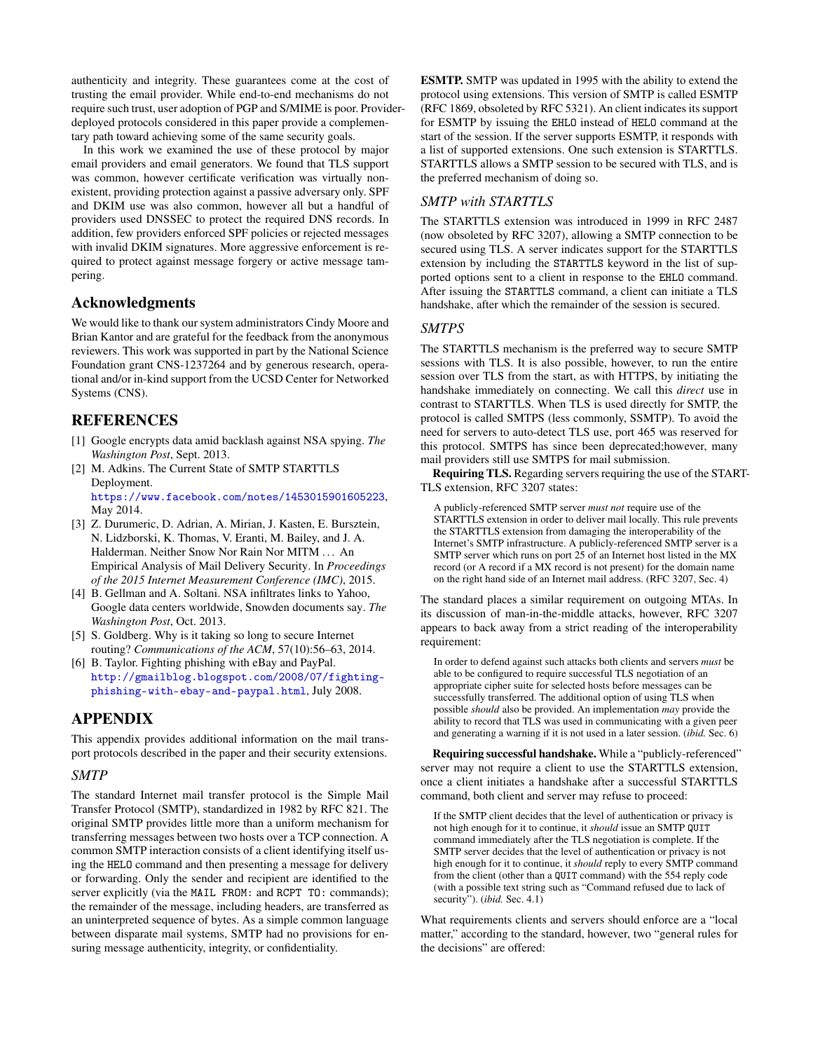authenticity and integrity. These guarantees come at the cost of trusting the email provider. While end-to-end mechanisms do not require such trust, user adoption of PGP and S/MIME is poor. Providerdeployed protocols considered in this paper provide a complementary path toward achieving some of the same security goals.

In this work we examined the use of these protocol by major email providers and email generators. We found that TLS support was common, however certificate verification was virtually nonexistent, providing protection against a passive adversary only. SPF and DKIM use was also common, however all but a handful of providers used DNSSEC to protect the required DNS records. In addition, few providers enforced SPF policies or rejected messages with invalid DKIM signatures. More aggressive enforcement is required to protect against message forgery or active message tampering.

# Acknowledgments

We would like to thank our system administrators Cindy Moore and Brian Kantor and are grateful for the feedback from the anonymous reviewers. This work was supported in part by the National Science Foundation grant CNS-1237264 and by generous research, operational and/or in-kind support from the UCSD Center for Networked Systems (CNS).

# **REFERENCES**

- <span id="page-12-1"></span>[1] Google encrypts data amid backlash against NSA spying. *The Washington Post*, Sept. 2013.
- <span id="page-12-3"></span>[2] M. Adkins. The Current State of SMTP STARTTLS Deployment.

<https://www.facebook.com/notes/1453015901605223>, May 2014.

- <span id="page-12-4"></span>[3] Z. Durumeric, D. Adrian, A. Mirian, J. Kasten, E. Bursztein, N. Lidzborski, K. Thomas, V. Eranti, M. Bailey, and J. A. Halderman. Neither Snow Nor Rain Nor MITM . . . An Empirical Analysis of Mail Delivery Security. In *Proceedings of the 2015 Internet Measurement Conference (IMC)*, 2015.
- <span id="page-12-0"></span>[4] B. Gellman and A. Soltani. NSA infiltrates links to Yahoo, Google data centers worldwide, Snowden documents say. *The Washington Post*, Oct. 2013.
- <span id="page-12-5"></span>[5] S. Goldberg. Why is it taking so long to secure Internet routing? *Communications of the ACM*, 57(10):56–63, 2014.
- <span id="page-12-2"></span>[6] B. Taylor. Fighting phishing with eBay and PayPal. [http://gmailblog.blogspot.com/2008/07/fighting](http://gmailblog.blogspot.com/2008/07/fighting-phishing-with-ebay-and-paypal.html)[phishing-with-ebay-and-paypal.html](http://gmailblog.blogspot.com/2008/07/fighting-phishing-with-ebay-and-paypal.html), July 2008.

# APPENDIX

This appendix provides additional information on the mail transport protocols described in the paper and their security extensions.

# *SMTP*

The standard Internet mail transfer protocol is the Simple Mail Transfer Protocol (SMTP), standardized in 1982 by RFC 821. The original SMTP provides little more than a uniform mechanism for transferring messages between two hosts over a TCP connection. A common SMTP interaction consists of a client identifying itself using the HELO command and then presenting a message for delivery or forwarding. Only the sender and recipient are identified to the server explicitly (via the MAIL FROM: and RCPT TO: commands); the remainder of the message, including headers, are transferred as an uninterpreted sequence of bytes. As a simple common language between disparate mail systems, SMTP had no provisions for ensuring message authenticity, integrity, or confidentiality.

ESMTP. SMTP was updated in 1995 with the ability to extend the protocol using extensions. This version of SMTP is called ESMTP (RFC 1869, obsoleted by RFC 5321). An client indicates its support for ESMTP by issuing the EHLO instead of HELO command at the start of the session. If the server supports ESMTP, it responds with a list of supported extensions. One such extension is STARTTLS. STARTTLS allows a SMTP session to be secured with TLS, and is the preferred mechanism of doing so.

# *SMTP with STARTTLS*

The STARTTLS extension was introduced in 1999 in RFC 2487 (now obsoleted by RFC 3207), allowing a SMTP connection to be secured using TLS. A server indicates support for the STARTTLS extension by including the STARTTLS keyword in the list of supported options sent to a client in response to the EHLO command. After issuing the STARTTLS command, a client can initiate a TLS handshake, after which the remainder of the session is secured.

# *SMTPS*

The STARTTLS mechanism is the preferred way to secure SMTP sessions with TLS. It is also possible, however, to run the entire session over TLS from the start, as with HTTPS, by initiating the handshake immediately on connecting. We call this *direct* use in contrast to STARTTLS. When TLS is used directly for SMTP, the protocol is called SMTPS (less commonly, SSMTP). To avoid the need for servers to auto-detect TLS use, port 465 was reserved for this protocol. SMTPS has since been deprecated;however, many mail providers still use SMTPS for mail submission.

Requiring TLS. Regarding servers requiring the use of the START-TLS extension, RFC 3207 states:

A publicly-referenced SMTP server *must not* require use of the STARTTLS extension in order to deliver mail locally. This rule prevents the STARTTLS extension from damaging the interoperability of the Internet's SMTP infrastructure. A publicly-referenced SMTP server is a SMTP server which runs on port 25 of an Internet host listed in the MX record (or A record if a MX record is not present) for the domain name on the right hand side of an Internet mail address. (RFC 3207, Sec. 4)

The standard places a similar requirement on outgoing MTAs. In its discussion of man-in-the-middle attacks, however, RFC 3207 appears to back away from a strict reading of the interoperability requirement:

In order to defend against such attacks both clients and servers *must* be able to be configured to require successful TLS negotiation of an appropriate cipher suite for selected hosts before messages can be successfully transferred. The additional option of using TLS when possible *should* also be provided. An implementation *may* provide the ability to record that TLS was used in communicating with a given peer and generating a warning if it is not used in a later session. (*ibid.* Sec. 6)

Requiring successful handshake. While a "publicly-referenced" server may not require a client to use the STARTTLS extension, once a client initiates a handshake after a successful STARTTLS command, both client and server may refuse to proceed:

If the SMTP client decides that the level of authentication or privacy is not high enough for it to continue, it *should* issue an SMTP QUIT command immediately after the TLS negotiation is complete. If the SMTP server decides that the level of authentication or privacy is not high enough for it to continue, it *should* reply to every SMTP command from the client (other than a QUIT command) with the 554 reply code (with a possible text string such as "Command refused due to lack of security"). (*ibid.* Sec. 4.1)

What requirements clients and servers should enforce are a "local matter," according to the standard, however, two "general rules for the decisions" are offered: